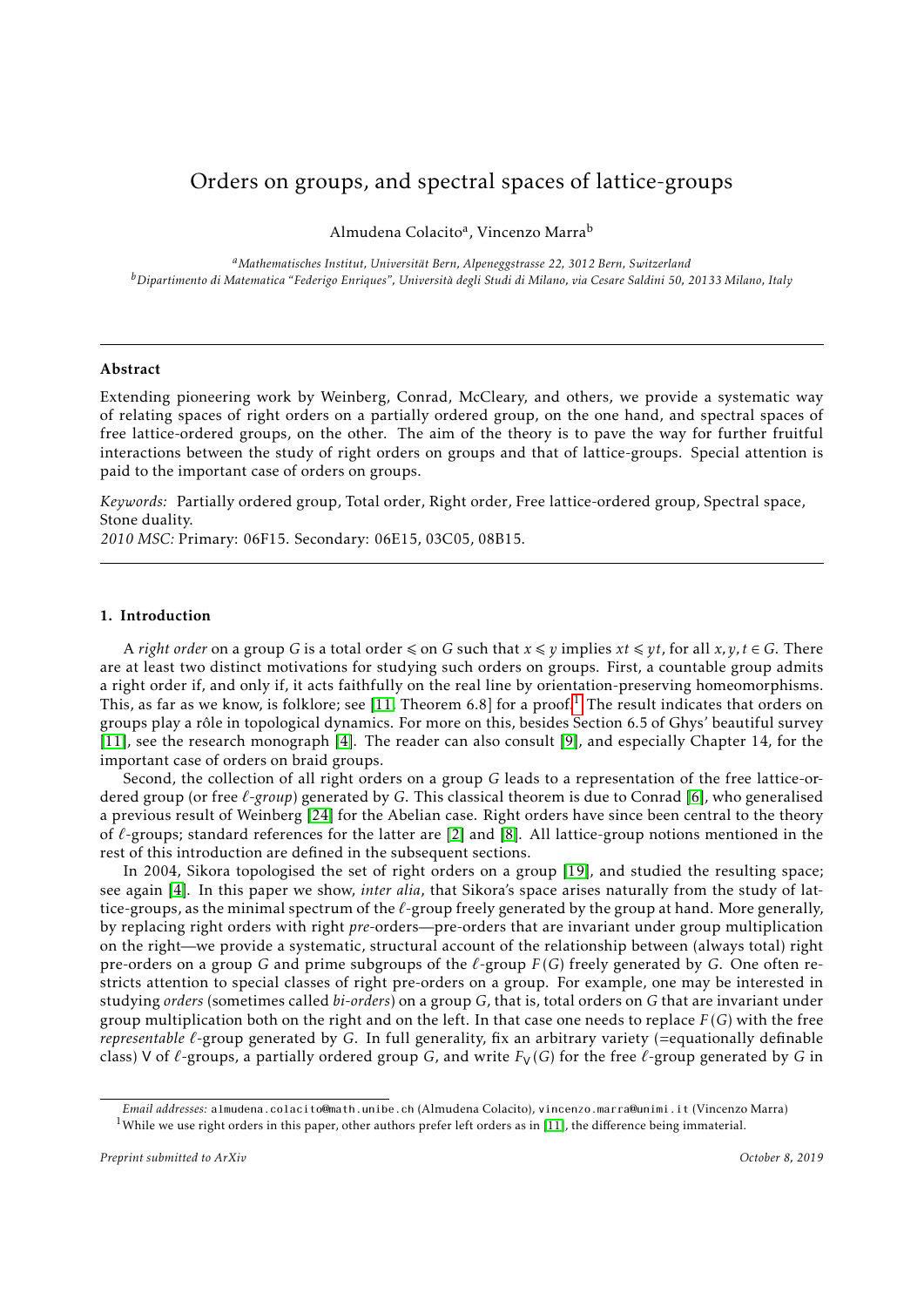# Orders on groups, and spectral spaces of lattice-groups

Almudena Colacito<sup>a</sup>, Vincenzo Marra<sup>b</sup>

*<sup>a</sup>Mathematisches Institut, Universitat Bern, Alpeneggstrasse 22, 3012 Bern, Switzerland ¨ <sup>b</sup>Dipartimento di Matematica "Federigo Enriques", Universita degli Studi di Milano, via Cesare Saldini 50, 20133 Milano, Italy `*

# Abstract

Extending pioneering work by Weinberg, Conrad, McCleary, and others, we provide a systematic way of relating spaces of right orders on a partially ordered group, on the one hand, and spectral spaces of free lattice-ordered groups, on the other. The aim of the theory is to pave the way for further fruitful interactions between the study of right orders on groups and that of lattice-groups. Special attention is paid to the important case of orders on groups.

*Keywords:* Partially ordered group, Total order, Right order, Free lattice-ordered group, Spectral space, Stone duality.

*2010 MSC:* Primary: 06F15. Secondary: 06E15, 03C05, 08B15.

# 1. Introduction

A *right order* on a group *G* is a total order  $\leq$  on *G* such that  $x \leq y$  implies  $xt \leq yt$ , for all  $x, y, t \in G$ . There are at least two distinct motivations for studying such orders on groups. First, a countable group admits a right order if, and only if, it acts faithfully on the real line by orientation-preserving homeomorphisms. This, as far as we know, is folklore; see [\[11,](#page-21-0) Theorem 6.8] for a proof.<sup>[1](#page-0-0)</sup> The result indicates that orders on groups play a rôle in topological dynamics. For more on this, besides Section 6.5 of Ghys' beautiful survey [\[11\]](#page-21-0), see the research monograph [\[4\]](#page-20-0). The reader can also consult [\[9\]](#page-21-1), and especially Chapter 14, for the important case of orders on braid groups.

Second, the collection of all right orders on a group *G* leads to a representation of the free lattice-ordered group (or free *`-group*) generated by *G*. This classical theorem is due to Conrad [\[6\]](#page-21-2), who generalised a previous result of Weinberg [\[24\]](#page-21-3) for the Abelian case. Right orders have since been central to the theory of  $\ell$ -groups; standard references for the latter are [\[2\]](#page-20-1) and [\[8\]](#page-21-4). All lattice-group notions mentioned in the rest of this introduction are defined in the subsequent sections.

In 2004, Sikora topologised the set of right orders on a group [\[19\]](#page-21-5), and studied the resulting space; see again [\[4\]](#page-20-0). In this paper we show, *inter alia*, that Sikora's space arises naturally from the study of lattice-groups, as the minimal spectrum of the  $\ell$ -group freely generated by the group at hand. More generally, by replacing right orders with right *pre*-orders—pre-orders that are invariant under group multiplication on the right—we provide a systematic, structural account of the relationship between (always total) right pre-orders on a group *G* and prime subgroups of the  $\ell$ -group  $F(G)$  freely generated by *G*. One often restricts attention to special classes of right pre-orders on a group. For example, one may be interested in studying *orders* (sometimes called *bi-orders*) on a group *G*, that is, total orders on *G* that are invariant under group multiplication both on the right and on the left. In that case one needs to replace *F* (*G*) with the free *representable*  $\ell$ -group generated by *G*. In full generality, fix an arbitrary variety (=equationally definable class) V of  $\ell$ -groups, a partially ordered group *G*, and write  $F_V(G)$  for the free  $\ell$ -group generated by *G* in

*Email addresses:* almudena.colacito@math.unibe.ch (Almudena Colacito), vincenzo.marra@unimi.it (Vincenzo Marra)

<span id="page-0-0"></span><sup>&</sup>lt;sup>1</sup>While we use right orders in this paper, other authors prefer left orders as in [\[11\]](#page-21-0), the difference being immaterial.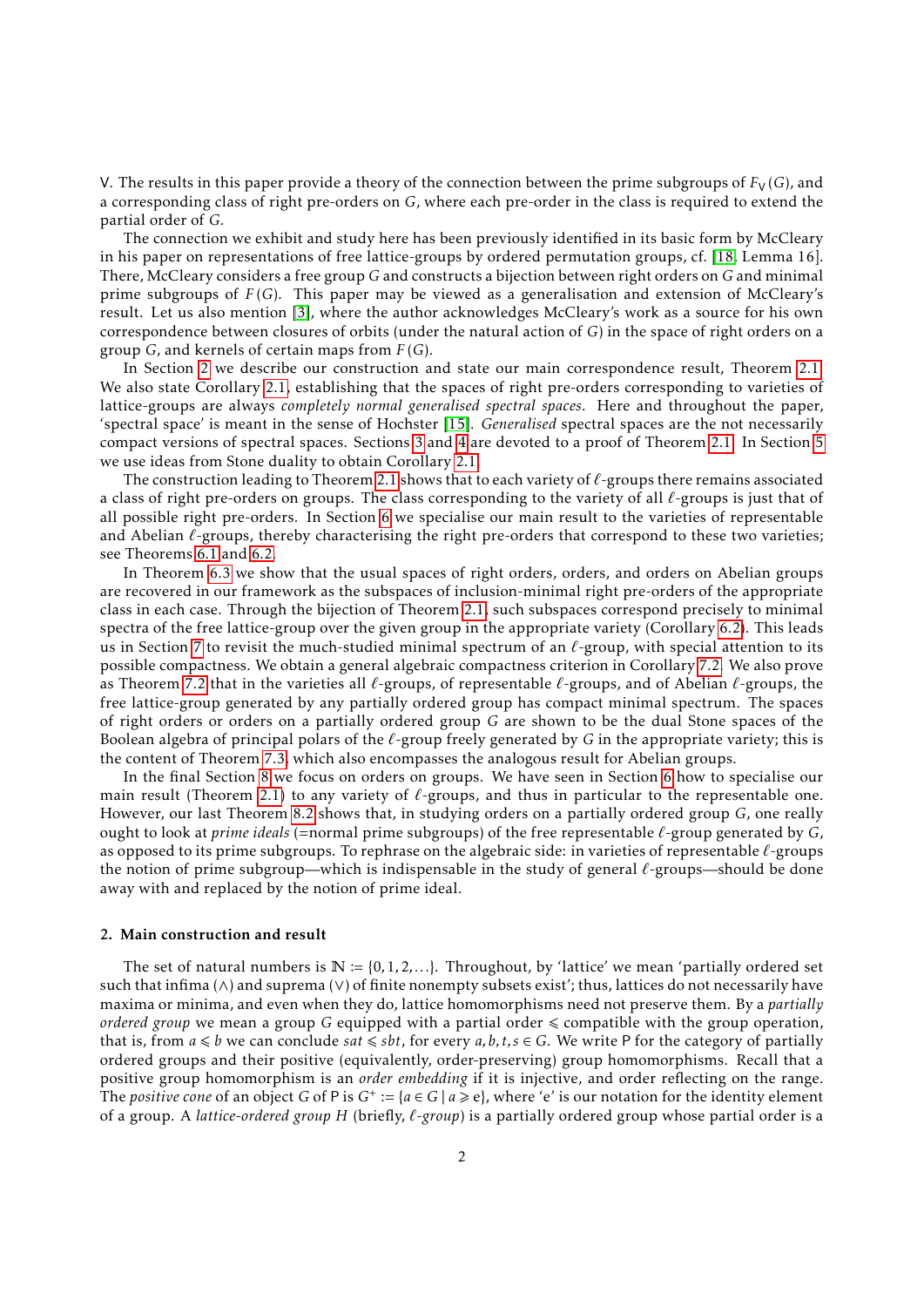V. The results in this paper provide a theory of the connection between the prime subgroups of  $F_V(G)$ , and a corresponding class of right pre-orders on *G*, where each pre-order in the class is required to extend the partial order of *G*.

The connection we exhibit and study here has been previously identified in its basic form by McCleary in his paper on representations of free lattice-groups by ordered permutation groups, cf. [\[18,](#page-21-6) Lemma 16]. There, McCleary considers a free group *G* and constructs a bijection between right orders on *G* and minimal prime subgroups of *F* (*G*). This paper may be viewed as a generalisation and extension of McCleary's result. Let us also mention [\[3\]](#page-20-2), where the author acknowledges McCleary's work as a source for his own correspondence between closures of orbits (under the natural action of *G*) in the space of right orders on a group *G*, and kernels of certain maps from *F* (*G*).

In Section [2](#page-1-0) we describe our construction and state our main correspondence result, Theorem [2.1.](#page-4-0) We also state Corollary [2.1,](#page-4-1) establishing that the spaces of right pre-orders corresponding to varieties of lattice-groups are always *completely normal generalised spectral spaces*. Here and throughout the paper, 'spectral space' is meant in the sense of Hochster [\[15\]](#page-21-7). *Generalised* spectral spaces are the not necessarily compact versions of spectral spaces. Sections [3](#page-4-2) and [4](#page-7-0) are devoted to a proof of Theorem [2.1.](#page-4-0) In Section [5](#page-8-0) we use ideas from Stone duality to obtain Corollary [2.1.](#page-4-1)

The construction leading to Theorem [2.1](#page-4-0) shows that to each variety of  $\ell$ -groups there remains associated a class of right pre-orders on groups. The class corresponding to the variety of all  $\ell$ -groups is just that of all possible right pre-orders. In Section [6](#page-10-0) we specialise our main result to the varieties of representable and Abelian  $\ell$ -groups, thereby characterising the right pre-orders that correspond to these two varieties; see Theorems [6.1](#page-10-1) and [6.2.](#page-10-2)

In Theorem [6.3](#page-12-0) we show that the usual spaces of right orders, orders, and orders on Abelian groups are recovered in our framework as the subspaces of inclusion-minimal right pre-orders of the appropriate class in each case. Through the bijection of Theorem [2.1,](#page-4-0) such subspaces correspond precisely to minimal spectra of the free lattice-group over the given group in the appropriate variety (Corollary [6.2\)](#page-13-0). This leads us in Section [7](#page-13-1) to revisit the much-studied minimal spectrum of an  $\ell$ -group, with special attention to its possible compactness. We obtain a general algebraic compactness criterion in Corollary [7.2.](#page-16-0) We also prove as Theorem [7.2](#page-17-0) that in the varieties all  $\ell$ -groups, of representable  $\ell$ -groups, and of Abelian  $\ell$ -groups, the free lattice-group generated by any partially ordered group has compact minimal spectrum. The spaces of right orders or orders on a partially ordered group *G* are shown to be the dual Stone spaces of the Boolean algebra of principal polars of the *`*-group freely generated by *G* in the appropriate variety; this is the content of Theorem [7.3,](#page-17-1) which also encompasses the analogous result for Abelian groups.

In the final Section [8](#page-17-2) we focus on orders on groups. We have seen in Section [6](#page-10-0) how to specialise our main result (Theorem [2.1\)](#page-4-0) to any variety of  $\ell$ -groups, and thus in particular to the representable one. However, our last Theorem [8.2](#page-20-3) shows that, in studying orders on a partially ordered group *G*, one really ought to look at *prime ideals* (=normal prime subgroups) of the free representable *`*-group generated by *G*, as opposed to its prime subgroups. To rephrase on the algebraic side: in varieties of representable *`*-groups the notion of prime subgroup—which is indispensable in the study of general  $\ell$ -groups—should be done away with and replaced by the notion of prime ideal.

# <span id="page-1-0"></span>2. Main construction and result

The set of natural numbers is  $\mathbb{N} := \{0, 1, 2, ...\}$ . Throughout, by 'lattice' we mean 'partially ordered set such that infima (∧) and suprema (∨) of finite nonempty subsets exist'; thus, lattices do not necessarily have maxima or minima, and even when they do, lattice homomorphisms need not preserve them. By a *partially ordered group* we mean a group G equipped with a partial order  $\leq$  compatible with the group operation, that is, from  $a \leq b$  we can conclude *sat*  $\leq sbt$ , for every  $a, b, t, s \in G$ . We write P for the category of partially ordered groups and their positive (equivalently, order-preserving) group homomorphisms. Recall that a positive group homomorphism is an *order embedding* if it is injective, and order reflecting on the range. The *positive cone* of an object *G* of P is  $G^+ := \{a \in G \mid a \geq e\}$ , where 'e' is our notation for the identity element of a group. A *lattice-ordered group H* (briefly, *`-group*) is a partially ordered group whose partial order is a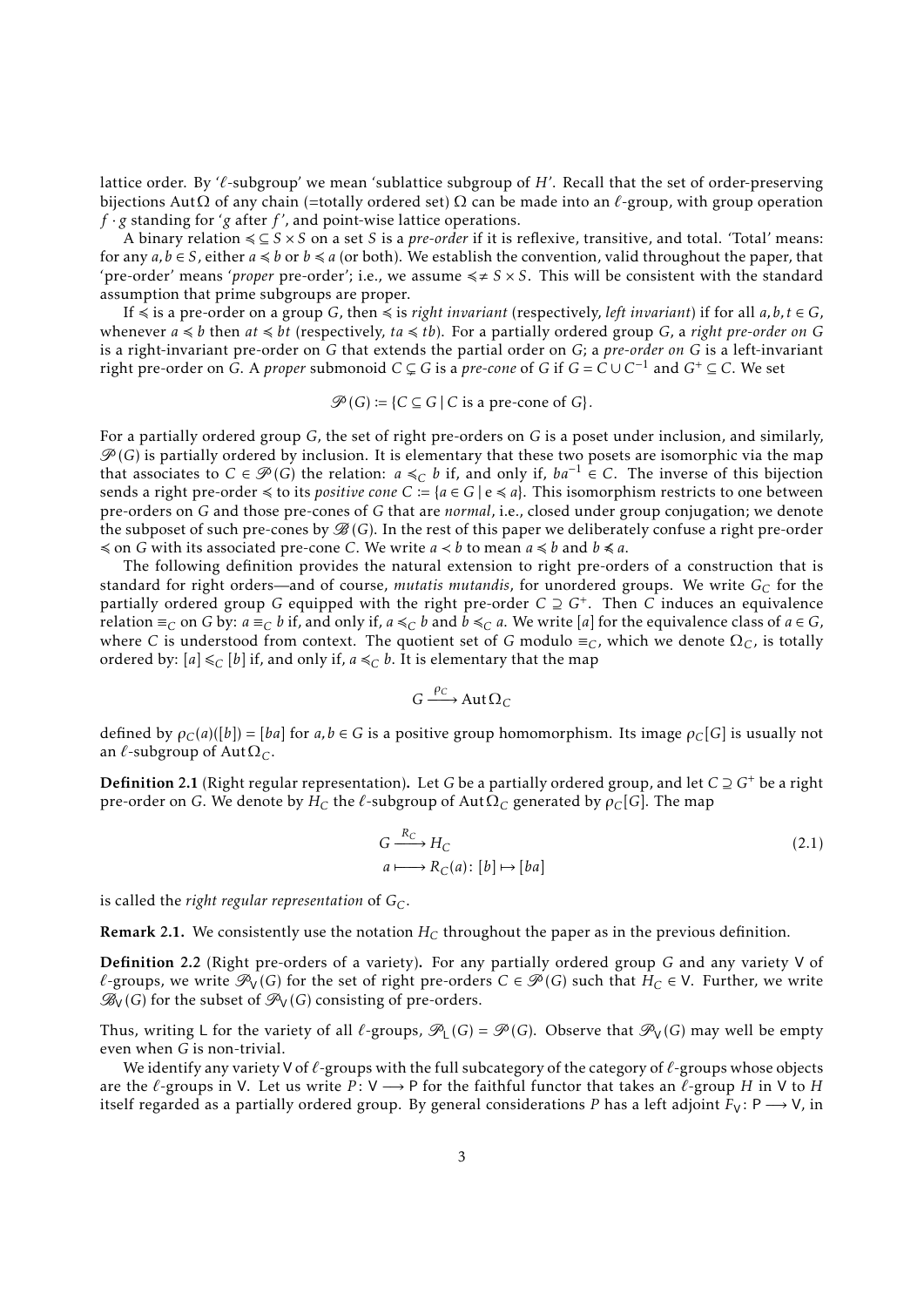lattice order. By ' $\ell$ -subgroup' we mean 'sublattice subgroup of  $H'$ . Recall that the set of order-preserving bijections AutΩ of any chain (=totally ordered set) Ω can be made into an *`*-group, with group operation *f* · *g* standing for '*g* after *f* ', and point-wise lattice operations.

A binary relation 4 ⊆ *S* × *S* on a set *S* is a *pre-order* if it is reflexive, transitive, and total. 'Total' means: for any  $a, b \in S$ , either  $a \leq b$  or  $b \leq a$  (or both). We establish the convention, valid throughout the paper, that 'pre-order' means 'proper pre-order'; i.e., we assume  $\leq \neq S \times S$ . This will be consistent with the standard assumption that prime subgroups are proper.

If  $\le$  is a pre-order on a group *G*, then  $\le$  is *right invariant* (respectively, *left invariant*) if for all *a*, *b*, *t*  $\in$  *G*, whenever  $a \leq b$  then  $at \leq bt$  (respectively,  $ta \leq tb$ ). For a partially ordered group *G*, a *right pre-order on G* is a right-invariant pre-order on *G* that extends the partial order on *G*; a *pre-order on G* is a left-invariant right pre-order on *G*. A *proper* submonoid  $C \subsetneq G$  is a *pre-cone* of *G* if  $G = C \cup C^{-1}$  and  $G^+ \subseteq C$ . We set

$$
\mathcal{P}(G) := \{ C \subseteq G \mid C \text{ is a pre-cone of } G \}.
$$

For a partially ordered group *G*, the set of right pre-orders on *G* is a poset under inclusion, and similarly,  $\mathscr{P}(G)$  is partially ordered by inclusion. It is elementary that these two posets are isomorphic via the map that associates to *C* ∈  $\mathcal{P}(G)$  the relation: *a* ≤<sub>*C*</sub> *b* if, and only if,  $ba^{-1} \in C$ . The inverse of this bijection sends a right pre-order  $\leq$  to its *positive cone*  $C := \{a \in G \mid e \leq a\}$ . This isomorphism restricts to one between pre-orders on *G* and those pre-cones of *G* that are *normal*, i.e., closed under group conjugation; we denote the subposet of such pre-cones by  $\mathcal{B}(G)$ . In the rest of this paper we deliberately confuse a right pre-order  $\le$  on *G* with its associated pre-cone *C*. We write *a*  $\lt$  *b* to mean *a*  $\le$  *b* and *b*  $\le$  *a*.

The following definition provides the natural extension to right pre-orders of a construction that is standard for right orders—and of course, *mutatis mutandis*, for unordered groups. We write *G<sup>C</sup>* for the partially ordered group *G* equipped with the right pre-order *C* ⊇ *G*<sup>+</sup> . Then *C* induces an equivalence relation ≡*C* on *G* by: *a* ≡*C b* if, and only if,  $a \leq C$  *b* and  $b \leq C$  *a*. We write [*a*] for the equivalence class of  $a \in G$ , where *C* is understood from context. The quotient set of *G* modulo  $\equiv_C$ , which we denote  $\Omega_C$ , is totally ordered by:  $[a] \leq_C [b]$  if, and only if,  $a \leq_C b$ . It is elementary that the map

<span id="page-2-1"></span>
$$
G \xrightarrow{\rho_C} \operatorname{Aut} \Omega_C
$$

defined by *ρC*(*a*)([*b*]) = [*ba*] for *a,b* ∈ *G* is a positive group homomorphism. Its image *ρC*[*G*] is usually not an  $\ell$ -subgroup of Aut $\Omega_C$ .

Definition 2.1 (Right regular representation). Let *G* be a partially ordered group, and let *C* ⊇ *G*<sup>+</sup> be a right pre-order on *G*. We denote by  $H_C$  the  $\ell$ -subgroup of Aut $\Omega_C$  generated by  $\rho_C[G]$ . The map

$$
G \xrightarrow{R_C} H_C
$$
  
\n $a \longmapsto R_C(a) : [b] \mapsto [ba]$  (2.1)

is called the *right regular representation* of *GC*.

Remark 2.1. We consistently use the notation *H<sup>C</sup>* throughout the paper as in the previous definition.

<span id="page-2-0"></span>Definition 2.2 (Right pre-orders of a variety). For any partially ordered group *G* and any variety V of *l*-groups, we write  $\mathcal{P}_V(G)$  for the set of right pre-orders *C* ∈  $\mathcal{P}(G)$  such that *H*<sub>*C*</sub> ∈ V. Further, we write  $\mathscr{B}_{V}(G)$  for the subset of  $\mathscr{P}_{V}(G)$  consisting of pre-orders.

Thus, writing L for the variety of all  $\ell$ -groups,  $\mathscr{P}_L(G) = \mathscr{P}(G)$ . Observe that  $\mathscr{P}_V(G)$  may well be empty even when *G* is non-trivial.

We identify any variety V of  $\ell$ -groups with the full subcategory of the category of  $\ell$ -groups whose objects are the  $\ell$ -groups in V. Let us write  $P: V \longrightarrow P$  for the faithful functor that takes an  $\ell$ -group *H* in V to *H* itself regarded as a partially ordered group. By general considerations *P* has a left adjoint  $F_V: P \longrightarrow V$ , in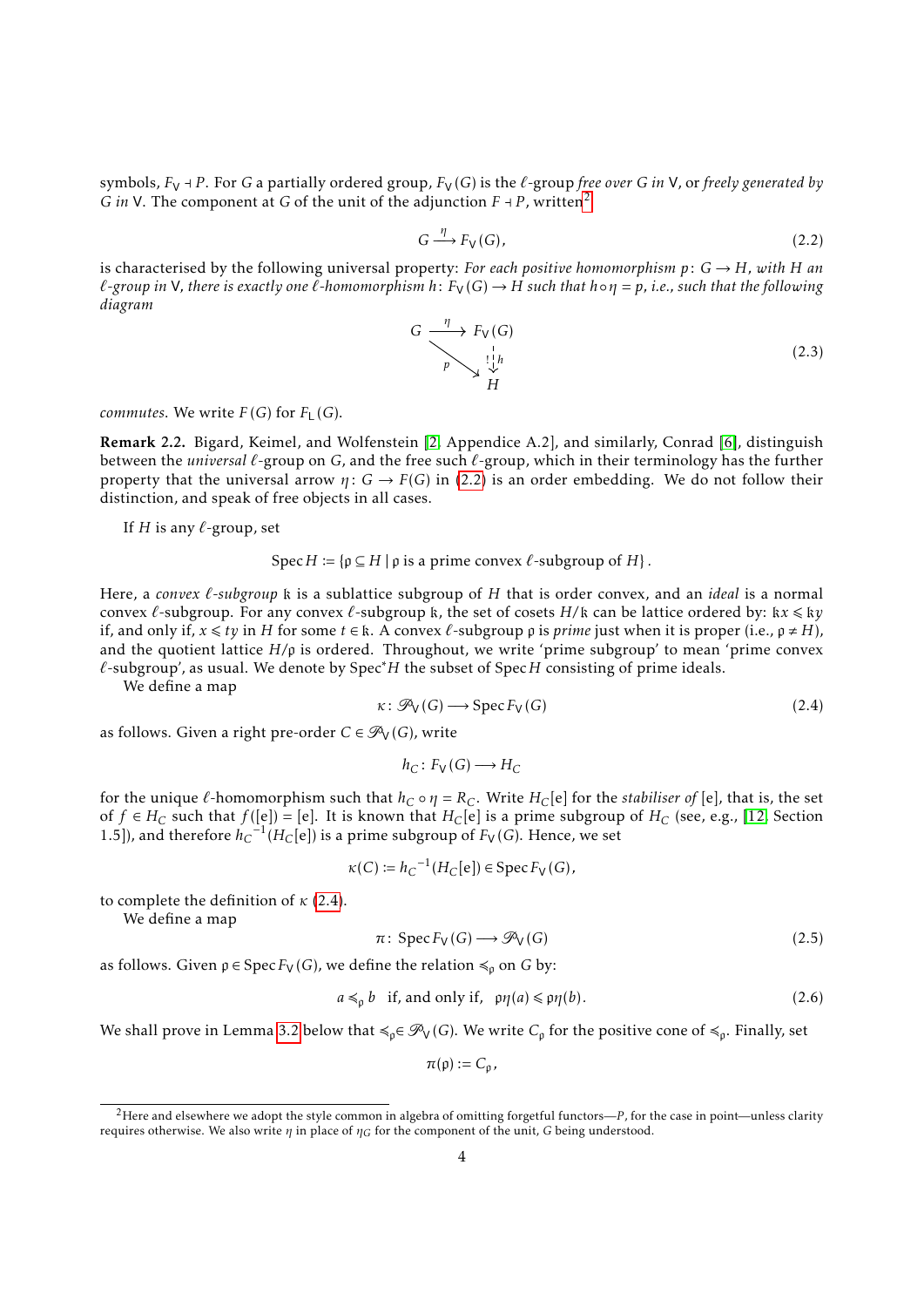symbols,  $F_V$  + P. For G a partially ordered group,  $F_V(G)$  is the  $\ell$ -group *free over* G *in* V, or *freely generated by G in* V. The component at *G* of the unit of the adjunction  $F \dashv P$ , written<sup>[2](#page-3-0)</sup>

<span id="page-3-1"></span>
$$
G \xrightarrow{\eta} F_{V}(G), \tag{2.2}
$$

is characterised by the following universal property: *For each positive homomorphism*  $p: G \rightarrow H$ *, with H* an  $\ell$ -group in V, there is exactly one  $\ell$ -homomorphism  $h: F_V(G) \to H$  such that  $h \circ \eta = p$ , i.e., such that the following *diagram*

<span id="page-3-5"></span>

*commutes*. We write  $F(G)$  for  $F<sub>L</sub>(G)$ .

Remark 2.2. Bigard, Keimel, and Wolfenstein [\[2,](#page-20-1) Appendice A.2], and similarly, Conrad [\[6\]](#page-21-2), distinguish between the *universal*  $\ell$ -group on *G*, and the free such  $\ell$ -group, which in their terminology has the further property that the universal arrow  $\eta: G \to F(G)$  in [\(2.2\)](#page-3-1) is an order embedding. We do not follow their distinction, and speak of free objects in all cases.

If  $H$  is any  $\ell$ -group, set

$$
Spec H := \{ p \subseteq H \mid p \text{ is a prime convex } \ell \text{-subgroup of } H \}.
$$

Here, a *convex*  $\ell$ *-subgroup* k is a sublattice subgroup of *H* that is order convex, and an *ideal* is a normal convex  $\ell$ -subgroup. For any convex  $\ell$ -subgroup k, the set of cosets  $H/k$  can be lattice ordered by: k $x \leq k y$ if, and only if,  $x \leq t$ *y* in *H* for some  $t \in \mathbb{k}$ . A convex  $\ell$ -subgroup  $\rho$  is *prime* just when it is proper (i.e.,  $\rho \neq H$ ), and the quotient lattice  $H/p$  is ordered. Throughout, we write 'prime subgroup' to mean 'prime convex *`*-subgroup', as usual. We denote by Spec∗*H* the subset of Spec*H* consisting of prime ideals.

We define a map

<span id="page-3-2"></span>
$$
\kappa \colon \mathcal{P}_V(G) \longrightarrow \operatorname{Spec} F_V(G) \tag{2.4}
$$

as follows. Given a right pre-order  $C \in \mathcal{P}_V(G)$ , write

<span id="page-3-3"></span>
$$
h_C\colon F_{\mathsf{V}}(G)\longrightarrow H_C
$$

for the unique  $\ell$ -homomorphism such that  $h_C \circ \eta = R_C$ . Write  $H_C[e]$  for the *stabiliser of* [e], that is, the set of *f* ∈ *H*<sub>*C*</sub> such that *f*([e]) = [e]. It is known that *H*<sub>*C*</sub>[e] is a prime subgroup of *H<sub>C</sub>* (see, e.g., [\[12,](#page-21-8) Section 1.5]), and therefore  $h_C^{-1}(H_C[e])$  is a prime subgroup of  $F_V(G)$ . Hence, we set

$$
\kappa(C) := h_C^{-1}(H_C[e]) \in \operatorname{Spec} F_V(G),
$$

to complete the definition of *κ* [\(2.4\)](#page-3-2).

We define a map

$$
\pi\colon \operatorname{Spec} F_V(G) \longrightarrow \mathcal{P}_V(G) \tag{2.5}
$$

as follows. Given  $p \in \text{Spec } F_V(G)$ , we define the relation  $\leq_p$  on *G* by:

<span id="page-3-4"></span>
$$
a \leq_{\rho} b \quad \text{if, and only if,} \quad \rho \eta(a) \leq \rho \eta(b). \tag{2.6}
$$

We shall prove in Lemma [3.2](#page-5-0) below that  $\leq_{\rho} \in \mathcal{P}_{V}(G)$ . We write  $C_{\rho}$  for the positive cone of  $\leq_{\rho}$ . Finally, set

$$
\pi(\rho):=C_{\rho},
$$

<span id="page-3-0"></span><sup>2</sup>Here and elsewhere we adopt the style common in algebra of omitting forgetful functors—*P* , for the case in point—unless clarity requires otherwise. We also write *η* in place of *ηG* for the component of the unit, *G* being understood.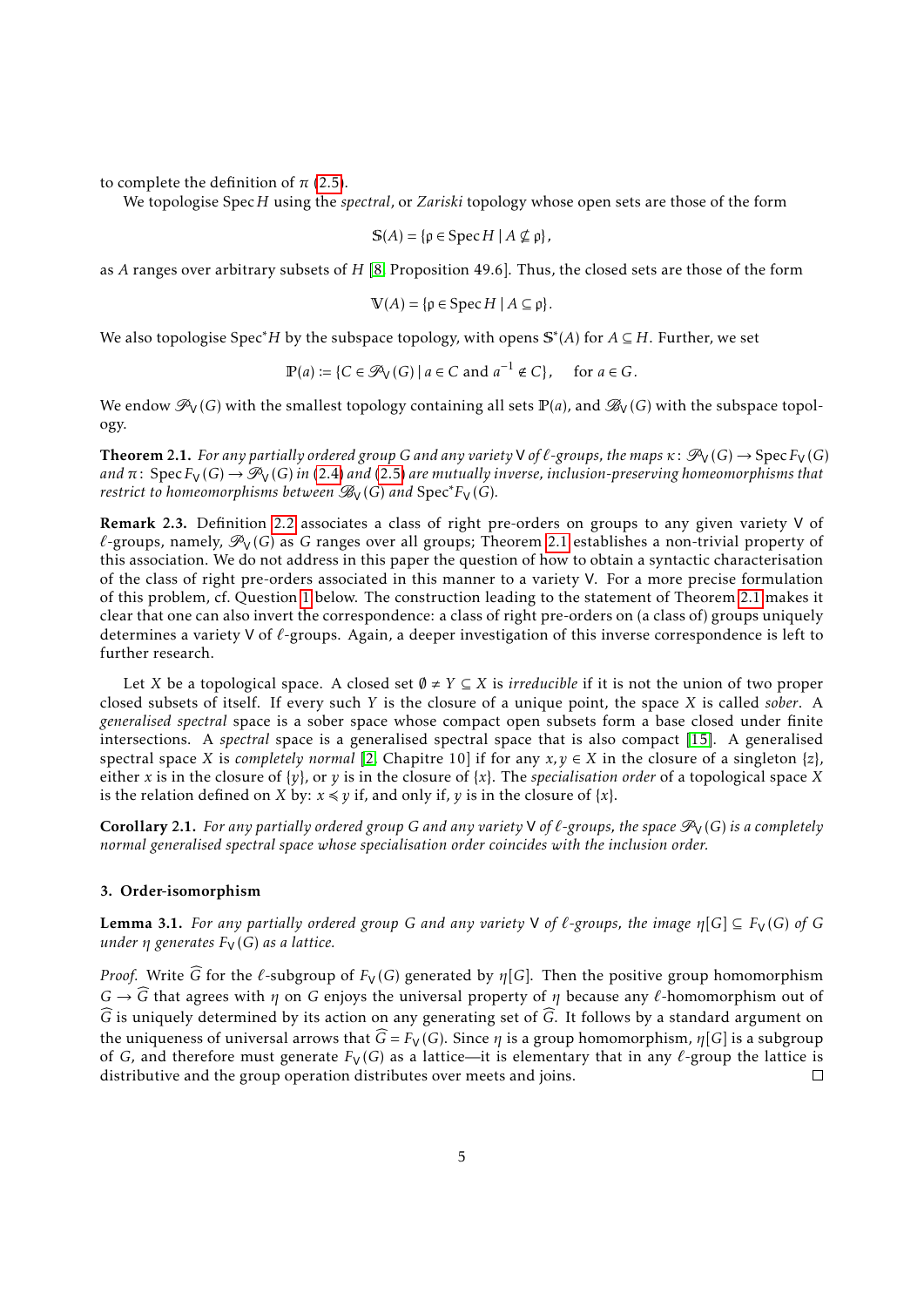to complete the definition of  $\pi$  [\(2.5\)](#page-3-3).

We topologise Spec*H* using the *spectral*, or *Zariski* topology whose open sets are those of the form

$$
\mathbb{S}(A) = \{ \rho \in \operatorname{Spec} H \mid A \nsubseteq \rho \},\
$$

as *A* ranges over arbitrary subsets of *H* [\[8,](#page-21-4) Proposition 49.6]. Thus, the closed sets are those of the form

$$
\mathbb{V}(A) = \{ \rho \in \operatorname{Spec} H \mid A \subseteq \rho \}.
$$

We also topologise Spec∗*H* by the subspace topology, with opens S ∗ (*A*) for *A* ⊆ *H*. Further, we set

$$
\mathbb{P}(a) := \{ C \in \mathcal{P}_V(G) \mid a \in C \text{ and } a^{-1} \notin C \}, \quad \text{ for } a \in G.
$$

We endow  $\mathcal{P}_V(G)$  with the smallest topology containing all sets  $\mathbb{P}(a)$ , and  $\mathcal{B}_V(G)$  with the subspace topology.

<span id="page-4-0"></span>**Theorem 2.1.** *For any partially ordered group G and any variety*  $\vee$  *of*  $\ell$ *-groups, the maps*  $\kappa$ :  $\mathcal{P}_V(G) \to \text{Spec } F_V(G)$ *and*  $\pi$ : Spec  $F_V(G) \to \mathcal{P}_V(G)$  *in* [\(2.4\)](#page-3-2) *and* [\(2.5\)](#page-3-3) *are mutually inverse, inclusion-preserving homeomorphisms that restrict to homeomorphisms between*  $\mathcal{B}_V(G)$  *and*  $Spec^*F_V(G)$ *.* 

Remark 2.3. Definition [2.2](#page-2-0) associates a class of right pre-orders on groups to any given variety V of  $\ell$ -groups, namely,  $\mathcal{P}_V(G)$  as *G* ranges over all groups; Theorem [2.1](#page-4-0) establishes a non-trivial property of this association. We do not address in this paper the question of how to obtain a syntactic characterisation of the class of right pre-orders associated in this manner to a variety V. For a more precise formulation of this problem, cf. Question [1](#page-11-0) below. The construction leading to the statement of Theorem [2.1](#page-4-0) makes it clear that one can also invert the correspondence: a class of right pre-orders on (a class of) groups uniquely determines a variety V of *`*-groups. Again, a deeper investigation of this inverse correspondence is left to further research.

Let *X* be a topological space. A closed set  $\emptyset \neq Y \subseteq X$  is *irreducible* if it is not the union of two proper closed subsets of itself. If every such *Y* is the closure of a unique point, the space *X* is called *sober*. A *generalised spectral* space is a sober space whose compact open subsets form a base closed under finite intersections. A *spectral* space is a generalised spectral space that is also compact [\[15\]](#page-21-7). A generalised spectral space *X* is *completely normal* [\[2,](#page-20-1) Chapitre 10] if for any  $x, y \in X$  in the closure of a singleton { $z$ }, either *x* is in the closure of {*y*}, or *y* is in the closure of {*x*}. The *specialisation order* of a topological space *X* is the relation defined on *X* by:  $x \leq y$  if, and only if, *y* is in the closure of  $\{x\}$ .

<span id="page-4-1"></span>**Corollary 2.1.** For any partially ordered group G and any variety V of  $\ell$ -groups, the space  $\mathcal{P}_V(G)$  is a completely *normal generalised spectral space whose specialisation order coincides with the inclusion order.*

#### <span id="page-4-2"></span>3. Order-isomorphism

<span id="page-4-3"></span>**Lemma 3.1.** For any partially ordered group G and any variety V of  $\ell$ -groups, the image  $\eta[G] \subseteq F_V(G)$  of G *under η generates*  $F_V(G)$  *as a lattice.* 

*Proof.* Write  $\widehat{G}$  for the  $\ell$ -subgroup of  $F_V(G)$  generated by  $\eta[G]$ . Then the positive group homomorphism  $G \rightarrow \widehat{G}$  that agrees with *η* on *G* enjoys the universal property of *η* because any  $\ell$ -homomorphism out of  $\widehat{G}$  is uniquely determined by its action on any generating set of  $\widehat{G}$ . It follows by a standard argument on the uniqueness of universal arrows that  $\widehat{G} = F_V (G)$ . Since  $\eta$  is a group homomorphism,  $\eta[G]$  is a subgroup of *G*, and therefore must generate  $F_V(G)$  as a lattice—it is elementary that in any  $\ell$ -group the lattice is distributive and the group operation distributes over meets and ioins. distributive and the group operation distributes over meets and joins.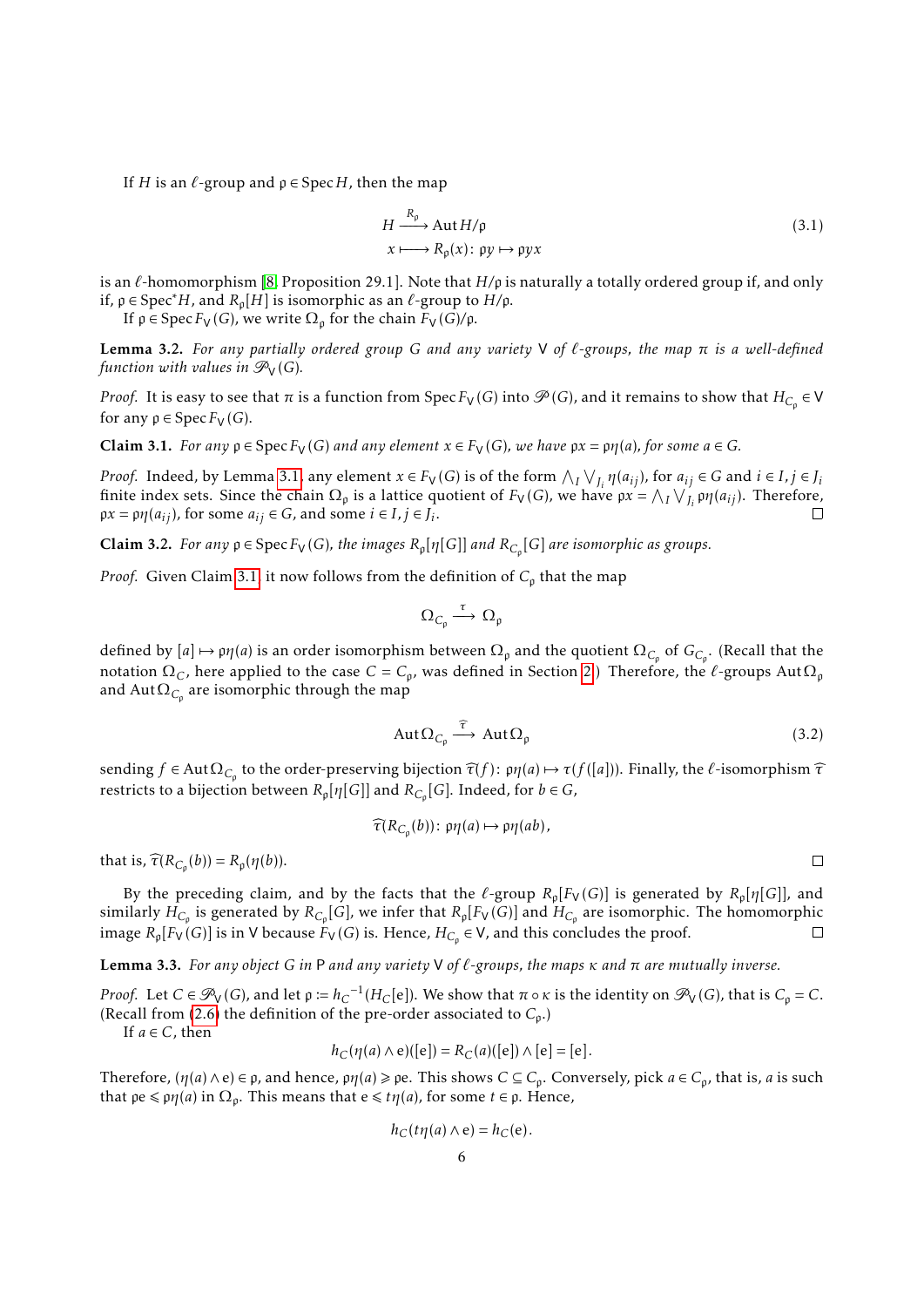If *H* is an  $\ell$ -group and  $\rho \in \text{Spec } H$ , then the map

<span id="page-5-4"></span>
$$
H \xrightarrow{R_{\rho}} \text{Aut } H/\rho
$$
  
\n
$$
x \longmapsto R_{\rho}(x) : \rho y \mapsto \rho y x
$$
\n(3.1)

is an  $\ell$ -homomorphism [\[8,](#page-21-4) Proposition 29.1]. Note that  $H/p$  is naturally a totally ordered group if, and only if,  $\rho$  ∈ Spec<sup>\*</sup>H, and  $R_{\rho}[H]$  is isomorphic as an  $\ell$ -group to  $H/\rho$ .

If  $\rho \in \text{Spec } F_V(G)$ , we write  $\Omega_{\rho}$  for the chain  $F_V(G)/\rho$ .

<span id="page-5-0"></span>Lemma 3.2. *For any partially ordered group G and any variety* V *of `-groups, the map π is a well-defined function with values in*  $\mathcal{P}_V(G)$ *.* 

*Proof.* It is easy to see that  $\pi$  is a function from  $Spec F_V(G)$  into  $\mathcal{P}(G)$ , and it remains to show that  $H_{C_p} \in V$ for any  $\rho \in \text{Spec } F_V(G)$ .

<span id="page-5-1"></span>**Claim 3.1.** *For any*  $p \in \text{Spec } F_V(G)$  *and any element*  $x \in F_V(G)$ *, we have*  $px = \rho \eta(a)$ *, for some*  $a \in G$ *.* 

*Proof.* Indeed, by Lemma [3.1,](#page-4-3) any element  $x \in F_V(G)$  is of the form  $\bigwedge_I \bigvee_{J_i} \eta(a_{ij})$ , for  $a_{ij} \in G$  and  $i \in I, j \in J_i$ finite index sets. Since the chain  $\Omega_{\rho}$  is a lattice quotient of  $F_V(G)$ , we have  $\mathfrak{p}x = \bigwedge_I \bigvee_{J_i} \mathfrak{p}y(a_{ij})$ . Therefore,  $\beta x = \beta \eta(a_{ij})$ , for some  $a_{ij} \in G$ , and some  $i \in I$ ,  $j \in J_i$ .

**Claim 3.2.** *For any*  $p \in \text{Spec } F_V(G)$ *, the images*  $R_p[\eta[G]]$  *and*  $R_{C_p}[G]$  *are isomorphic as groups.* 

*Proof.* Given Claim [3.1,](#page-5-1) it now follows from the definition of  $C_{\rho}$  that the map

<span id="page-5-2"></span>
$$
\Omega_{\text{C}_{\text{p}}}\overset{\tau}{\longrightarrow}\Omega_{\text{p}}
$$

defined by  $[a] \mapsto \rho \eta(a)$  is an order isomorphism between  $\Omega_\rho$  and the quotient  $\Omega_{C_\rho}$  of  $G_{C_\rho}$ . (Recall that the notation  $\Omega_C$ , here applied to the case  $C = C_p$ , was defined in Section [2.](#page-1-0)) Therefore, the  $\ell$ -groups Aut $\Omega_\mathfrak{p}$ and  $\mathrm{Aut}\Omega_{C_\mathsf{p}}$  are isomorphic through the map

$$
Aut \Omega_{C_{\rho}} \xrightarrow{\widehat{\tau}} Aut \Omega_{\rho}
$$
\n(3.2)

 $\text{seending } f \in \text{Aut } \Omega_{C_p}$  to the order-preserving bijection  $\hat{\tau}(f)$ : *pη*(*a*) → *τ*(*f*([*a*])). Finally, the *ℓ*-isomorphism  $\hat{\tau}$ restricts to a bijection between  $R_{\mathfrak{p}}[\eta[G]]$  and  $R_{C_{\mathfrak{p}}}[G]$ . Indeed, for  $b \in G$ ,

$$
\widehat{\tau}(R_{C_{\mathfrak{p}}}(b))\colon \mathfrak{p}\eta(a)\mapsto \mathfrak{p}\eta(ab),
$$

that is,  $\widehat{\tau}(R_{C_{\rho}}(b)) = R_{\rho}(\eta(b)).$ 

By the preceding claim, and by the facts that the  $\ell$ -group  $R_{\rho}[F_V(G)]$  is generated by  $R_{\rho}[\eta[G]]$ , and similarly  $H_{C_\rho}$  is generated by  $R_{C_\rho}[G]$ , we infer that  $R_\rho[F_{\sf V}(G)]$  and  $H_{C_\rho}$  are isomorphic. The homomorphic image  $R_p[F_V(G)]$  is in V because  $F_V(G)$  is. Hence,  $H_{C_p} \in V$ , and this concludes the proof.  $\Box$ 

<span id="page-5-3"></span>Lemma 3.3. *For any object G in* P *and any variety* V *of `-groups, the maps κ and π are mutually inverse.*

*Proof.* Let  $C \in \mathcal{P}_V(G)$ , and let  $p := h_C^{-1}(H_C[e])$ . We show that  $\pi \circ \kappa$  is the identity on  $\mathcal{P}_V(G)$ , that is  $C_p = C$ . (Recall from [\(2.6\)](#page-3-4) the definition of the pre-order associated to  $C_p$ .)

If  $a \in C$ , then

$$
h_C(\eta(a) \wedge e)([e]) = R_C(a)([e]) \wedge [e] = [e].
$$

Therefore,  $(\eta(a) \wedge e) \in \rho$ , and hence,  $\rho\eta(a) \geq \rho e$ . This shows  $C \subseteq C_\rho$ . Conversely, pick  $a \in C_\rho$ , that is, *a* is such that  $\varphi \in \varphi \eta(a)$  in  $\Omega_{\varphi}$ . This means that  $e \leq t\eta(a)$ , for some  $t \in \varphi$ . Hence,

$$
h_C(t\eta(a)\wedge e)=h_C(e).
$$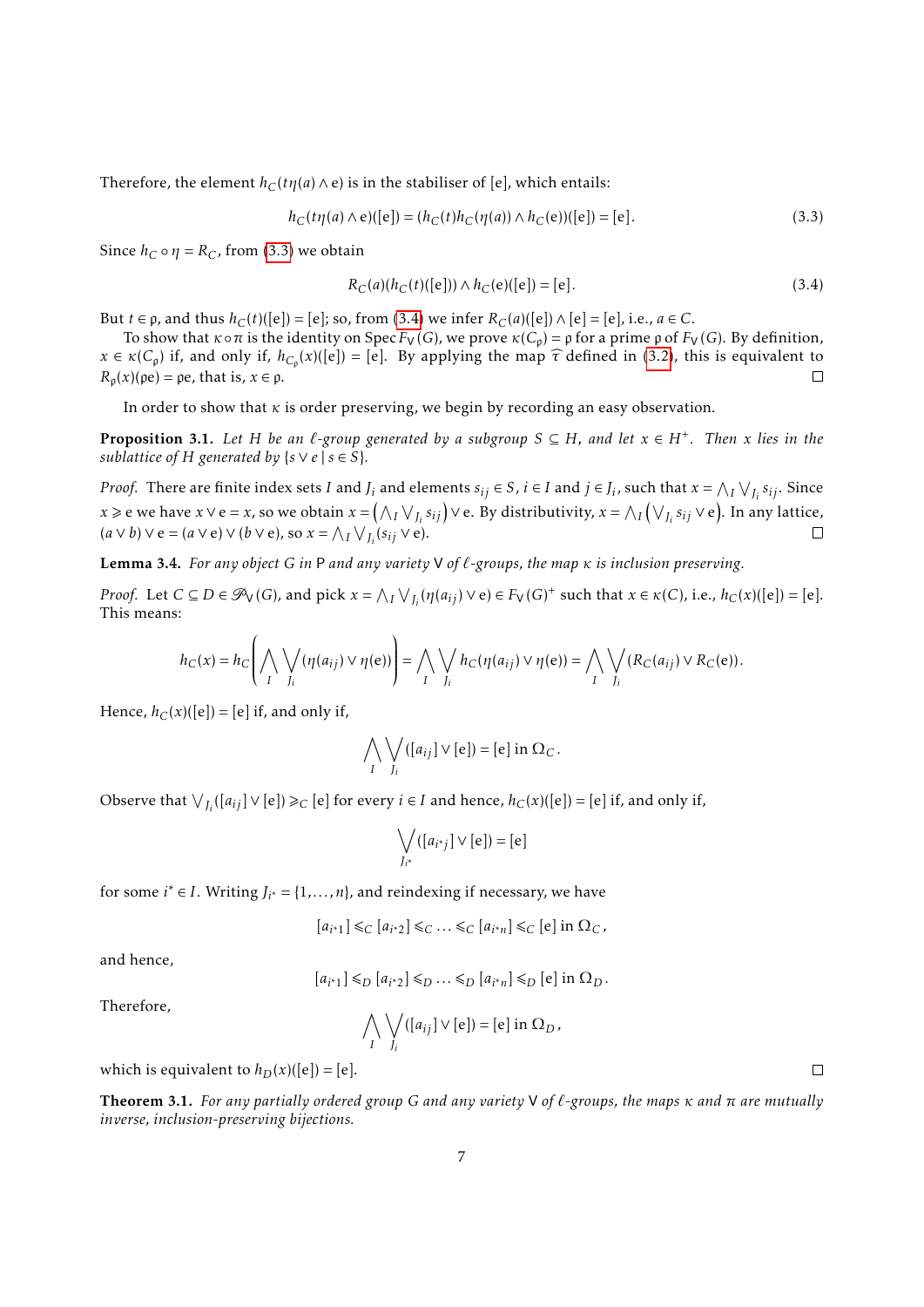Therefore, the element  $h_C(t\eta(a) \wedge e)$  is in the stabiliser of [e], which entails:

<span id="page-6-0"></span>
$$
h_C(t\eta(a) \wedge e)([e]) = (h_C(t)h_C(\eta(a)) \wedge h_C(e))([e]) = [e].
$$
\n(3.3)

Since  $h_C \circ \eta = R_C$ , from [\(3.3\)](#page-6-0) we obtain

<span id="page-6-1"></span>
$$
R_C(a)(h_C(t)([e])) \wedge h_C(e)([e]) = [e].
$$
\n(3.4)

But *t* ∈ *p*, and thus *h<sub>C</sub>*(*t*)([e]) = [e]; so, from [\(3.4\)](#page-6-1) we infer *R<sub>C</sub>*(*a*)([e])∧[e] = [e], i.e., *a* ∈ *C*.

To show that  $κ \circ π$  is the identity on Spec  $F_V(G)$ , we prove  $κ(C_p) = ρ$  for a prime  $ρ$  of  $F_V(G)$ . By definition,  $x \in \kappa(C_p)$  if, and only if,  $h_{C_p}(x)([e]) = [e]$ . By applying the map  $\hat{\tau}$  defined in [\(3.2\)](#page-5-2), this is equivalent to  $R_{\rho}(x)(\rho e) = \rho e$ , that is,  $x \in \rho$ .

In order to show that *κ* is order preserving, we begin by recording an easy observation.

<span id="page-6-4"></span>**Proposition 3.1.** Let *H* be an  $\ell$ -group generated by a subgroup  $S ⊆ H$ , and let  $x ∈ H<sup>+</sup>$ . Then *x* lies in the *sublattice of H generated by*  $\{s \vee e \mid s \in S\}$ *.* 

*Proof.* There are finite index sets I and  $J_i$  and elements  $s_{ij} \in S$ ,  $i \in I$  and  $j \in J_i$ , such that  $x = \bigwedge_I \bigvee_{J_i} s_{ij}$ . Since *x* ≥ e we have *x*∨e = *x*, so we obtain *x* =  $(A_I \vee_{J_i} s_{ij})$ ∨e. By distributivity, *x* =  $\wedge_I (\vee_{J_i} s_{ij} \vee$ e). In any lattice,  $(a \vee b) \vee e = (a \vee e) \vee (b \vee e)$ , so  $x = \bigwedge_I \bigvee_{J_i} (s_{ij} \vee e)$ .  $\Box$ 

<span id="page-6-2"></span>Lemma 3.4. *For any object G in* P *and any variety* V *of `-groups, the map κ is inclusion preserving.*

*Proof.* Let  $C \subseteq D \in \mathcal{P}_V(G)$ , and pick  $x = \bigwedge_I \bigvee_{J_i} (\eta(a_{ij}) \vee e) \in F_V(G)^+$  such that  $x \in \kappa(C)$ , i.e.,  $h_C(x)([e]) = [e]$ . This means:

$$
h_C(x) = h_C\left(\bigwedge_i \bigvee_{J_i} (\eta(a_{ij}) \vee \eta(e))\right) = \bigwedge_i \bigvee_{J_i} h_C(\eta(a_{ij}) \vee \eta(e)) = \bigwedge_i \bigvee_{J_i} (R_C(a_{ij}) \vee R_C(e)).
$$

Hence,  $h_C(x)([e]) = [e]$  if, and only if,

$$
\bigwedge_{I} \bigvee_{J_i} ([a_{ij}] \vee [e]) = [e] \text{ in } \Omega_C.
$$

Observe that  $\bigvee_{J_i}([a_{ij}] \vee [e]) \geq_C [e]$  for every  $i \in I$  and hence,  $h_C(x)([e]) = [e]$  if, and only if,

$$
\bigvee_{J_{i^*}} ([a_{i^*j}] \vee [e]) = [e]
$$

for some  $i^* \in I$ . Writing  $J_{i^*} = \{1, \ldots, n\}$ , and reindexing if necessary, we have

$$
[a_{i^*1}] \leq_C [a_{i^*2}] \leq_C \ldots \leq_C [a_{i^*n}] \leq_C [e] \text{ in } \Omega_C,
$$

and hence,

$$
[a_{i^*1}] \leq D [a_{i^*2}] \leq D \ldots \leq D [a_{i^*n}] \leq D [e] \text{ in } \Omega_D.
$$

Therefore,

$$
\bigwedge_{I} \bigvee_{J_i} ([a_{ij}] \vee [e]) = [e] \text{ in } \Omega_D,
$$

which is equivalent to  $h_D(x)([e]) = [e]$ .

<span id="page-6-3"></span>Theorem 3.1. *For any partially ordered group G and any variety* V *of `-groups, the maps κ and π are mutually inverse, inclusion-preserving bijections.*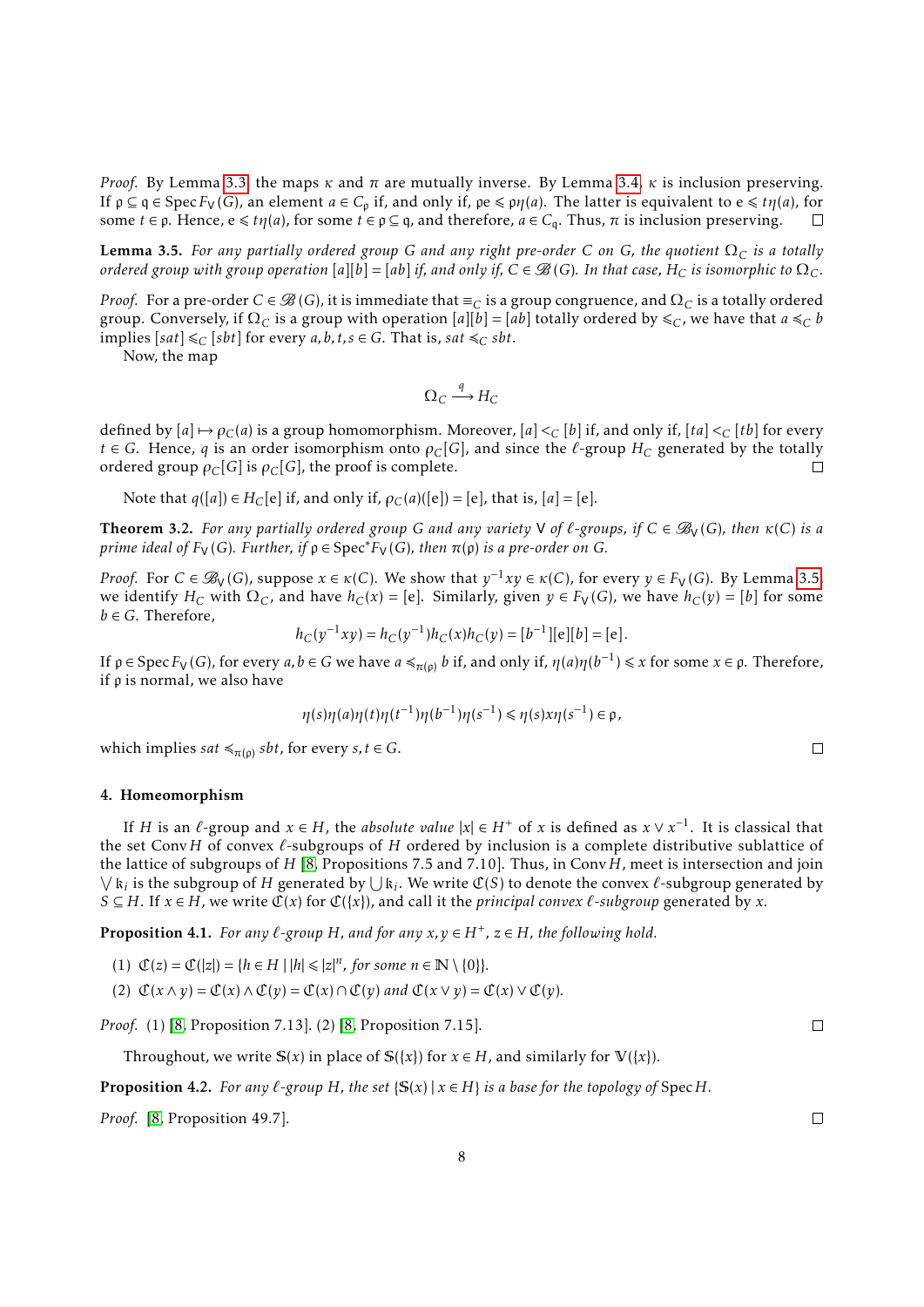*Proof.* By Lemma [3.3,](#page-5-3) the maps  $\kappa$  and  $\pi$  are mutually inverse. By Lemma [3.4,](#page-6-2)  $\kappa$  is inclusion preserving. If  $\rho \subseteq q \in \text{Spec } F_V(G)$ , an element  $a \in C_\rho$  if, and only if,  $\rho e \leqslant \rho \eta(a)$ . The latter is equivalent to  $e \leqslant t\eta(a)$ , for some  $t \in \rho$ . Hence,  $e \leq t\eta(a)$ , for some  $t \in \rho \subseteq q$ , and therefore,  $a \in C_q$ . Thus,  $\pi$  is inclusion preserving.  $\Box$ 

<span id="page-7-1"></span>**Lemma 3.5.** For any partially ordered group G and any right pre-order C on G, the quotient  $\Omega_C$  is a totally *ordered group with group operation*  $[a][b] = [ab]$  *if, and only if,*  $C \in \mathcal{B}(G)$ *. In that case,*  $H_C$  *is isomorphic to*  $\Omega_C$ *.* 

*Proof.* For a pre-order  $C \in \mathcal{B}(G)$ , it is immediate that  $\equiv_C$  is a group congruence, and  $\Omega_C$  is a totally ordered group. Conversely, if  $\Omega_C$  is a group with operation  $[a][b] = [ab]$  totally ordered by  $\leq_C$ , we have that  $a \leq_C b$ implies  $[sat] \leq C$   $[sbt]$  for every  $a, b, t, s \in G$ . That is,  $sat \leq C$   $sbt$ .

Now, the map

$$
\Omega_C \xrightarrow{q} H_C
$$

defined by  $[a] \mapsto \rho_C(a)$  is a group homomorphism. Moreover,  $[a] <_C [b]$  if, and only if,  $[ta] <_C [tb]$  for every *t* ∈ *G*. Hence, *q* is an order isomorphism onto  $\rho_C[G]$ , and since the  $\ell$ -group  $H_C$  generated by the totally ordered group  $\rho_C[G]$  is  $\rho_C[G]$ , the proof is complete. ordered group  $\rho_C[G]$  is  $\rho_C[G]$ , the proof is complete.

Note that  $q([a]) \in H_C[e]$  if, and only if,  $\rho_C(a)([e]) = [e]$ , that is,  $[a] = [e]$ .

<span id="page-7-4"></span>**Theorem 3.2.** For any partially ordered group G and any variety V of  $\ell$ -groups, if  $C \in \mathcal{B}_V(G)$ , then  $\kappa(C)$  is a *prime ideal of*  $F_V(G)$ *. Further, if*  $\rho \in Spec^*F_V(G)$ *, then*  $\pi(\rho)$  *is a pre-order on G.* 

*Proof.* For  $C \in \mathscr{B}_V(G)$ , suppose  $x \in \kappa(C)$ . We show that  $y^{-1}xy \in \kappa(C)$ , for every  $y \in F_V(G)$ . By Lemma [3.5,](#page-7-1) we identify  $H_C$  with  $\Omega_C$ , and have  $h_C(x) = [e]$ . Similarly, given  $y \in F_V(G)$ , we have  $h_C(y) = [b]$  for some  $b \in G$ . Therefore,

$$
h_C(y^{-1}xy) = h_C(y^{-1})h_C(x)h_C(y) = [b^{-1}][e][b] = [e].
$$

If  $\rho \in \text{Spec } F_V(G)$ , for every  $a, b \in G$  we have  $a \preccurlyeq_{\pi(\rho)} b$  if, and only if,  $\eta(a)\eta(b^{-1}) \leq x$  for some  $x \in \rho$ . Therefore, if p is normal, we also have

$$
\eta(s)\eta(a)\eta(t)\eta(t^{-1})\eta(b^{-1})\eta(s^{-1}) \leq \eta(s)x\eta(s^{-1}) \in \mathfrak{p},
$$

which implies *sat*  $\leq_{\pi(\rho)}$  *sbt*, for every *s*, *t*  $\in$  *G*.

# <span id="page-7-0"></span>4. Homeomorphism

If *H* is an  $\ell$ -group and  $x \in H$ , the *absolute value*  $|x| \in H^+$  of *x* is defined as  $x \vee x^{-1}$ . It is classical that the set Conv*H* of convex  $\ell$ -subgroups of *H* ordered by inclusion is a complete distributive sublattice of the lattice of subgroups of *H* [\[8,](#page-21-4) Propositions 7.5 and 7.10]. Thus, in Conv*H*, meet is intersection and join  $\bigvee$   $k_i$  is the subgroup of *H* generated by  $\bigcup k_i$ . We write  $\mathcal{C}(S)$  to denote the convex  $\ell$ -subgroup generated by *S* ⊆ *H*. If *x* ∈ *H*, we write  $\mathcal{C}(x)$  for  $\mathcal{C}(\{x\})$ , and call it the *principal convex*  $\ell$ -*subgroup* generated by *x*.

<span id="page-7-2"></span>**Proposition 4.1.** *For any*  $\ell$ -group  $H$ *, and for any*  $x, y \in H^+$ ,  $z \in H$ *, the following hold.* 

(1) 
$$
\mathcal{C}(z) = \mathcal{C}(|z|) = \{h \in H \mid |h| \leq |z|^n, \text{ for some } n \in \mathbb{N} \setminus \{0\}\}.
$$

(2)  $\mathcal{C}(x \wedge y) = \mathcal{C}(x) \wedge \mathcal{C}(y) = \mathcal{C}(x) \cap \mathcal{C}(y)$  and  $\mathcal{C}(x \vee y) = \mathcal{C}(x) \vee \mathcal{C}(y)$ .

*Proof.* (1) [\[8,](#page-21-4) Proposition 7.13]. (2) [\[8,](#page-21-4) Proposition 7.15].

Throughout, we write  $S(x)$  in place of  $S({x})$  for  $x \in H$ , and similarly for  $V({x})$ .

<span id="page-7-3"></span>**Proposition 4.2.** *For any*  $\ell$ -group  $H$ *, the set*  $\{S(x) | x \in H\}$  *is a base for the topology of* Spec  $H$ *.* 

*Proof.* [\[8,](#page-21-4) Proposition 49.7].

 $\Box$ 

 $\Box$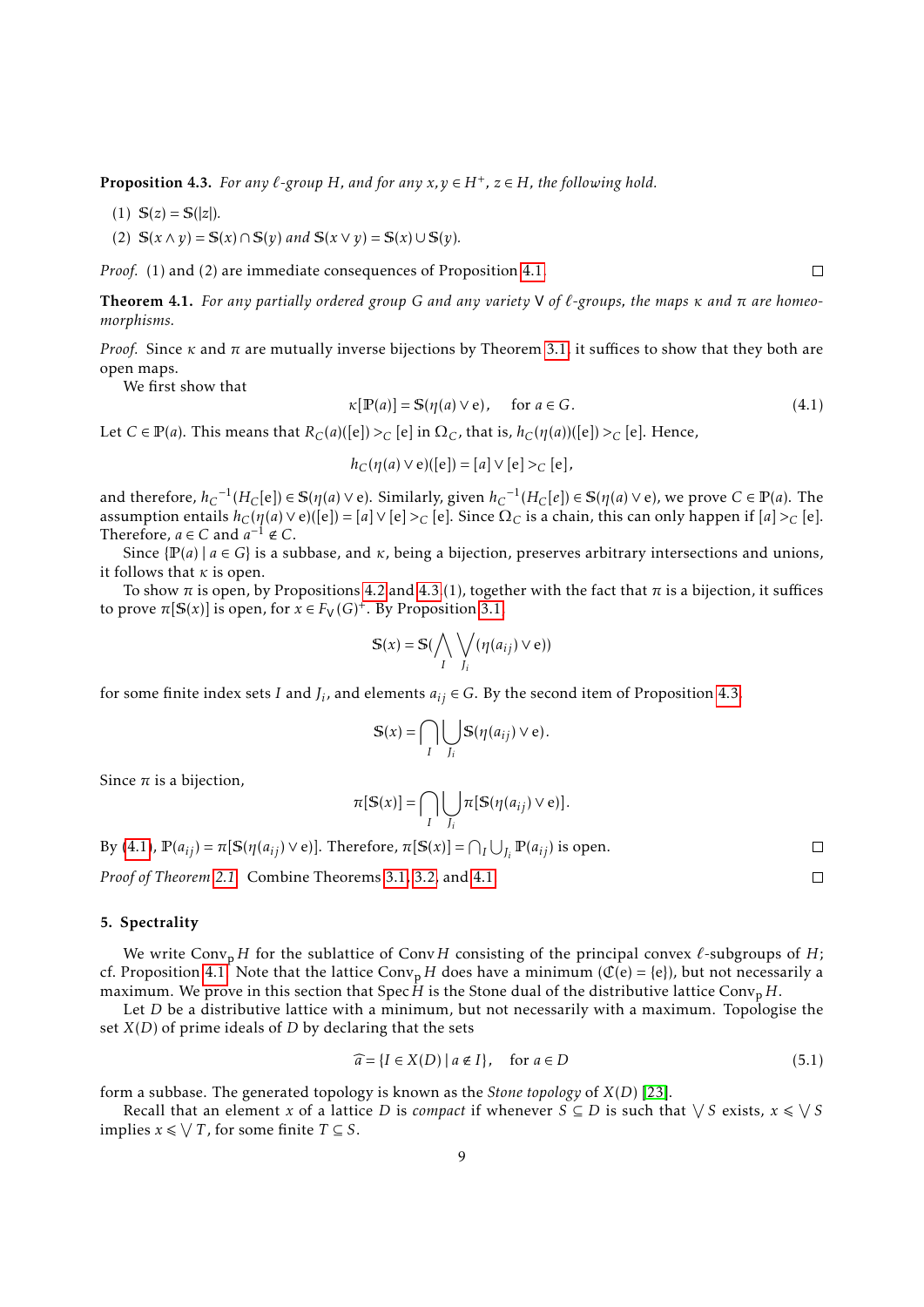<span id="page-8-1"></span>**Proposition 4.3.** For any  $\ell$ -group H, and for any  $x, y \in H^+$ ,  $z \in H$ , the following hold.

- (1)  $S(z) = S(|z|)$ .
- (2)  $S(x \wedge y) = S(x) \cap S(y)$  and  $S(x \vee y) = S(x) \cup S(y)$ .

*Proof.* (1) and (2) are immediate consequences of Proposition [4.1.](#page-7-2)

<span id="page-8-3"></span>Theorem 4.1. *For any partially ordered group G and any variety* V *of `-groups, the maps κ and π are homeomorphisms.*

*Proof.* Since  $\kappa$  and  $\pi$  are mutually inverse bijections by Theorem [3.1,](#page-6-3) it suffices to show that they both are open maps.

We first show that

<span id="page-8-2"></span>
$$
\kappa[\mathbb{P}(a)] = \mathbb{S}(\eta(a) \vee e), \quad \text{for } a \in G. \tag{4.1}
$$

Let *C* ∈ **P**(*a*). This means that *RC*(*a*)([e]) >*C* [e] in Ω*C*, that is, *h<sub>C</sub>*(*n*(*a*))([e]) >*C* [e]. Hence,

 $h_C(\eta(a) \vee e)([e]) = [a] \vee [e] > C[e],$ 

and therefore,  $h_C^{-1}(H_C[e]) \in \mathbb{S}(\eta(a) \vee e)$ . Similarly, given  $h_C^{-1}(H_C[e]) \in \mathbb{S}(\eta(a) \vee e)$ , we prove  $C \in \mathbb{P}(a)$ . The assumption entails  $h_C(\eta(a) \vee e)([e]) = [a] \vee [e] >_C [e]$ . Since  $\Omega_C$  is a chain, this can only happen if  $[a] >_C [e]$ . Therefore,  $a \in C$  and  $a^{-1} \notin C$ .

Since  $\{P(a) \mid a \in G\}$  is a subbase, and  $\kappa$ , being a bijection, preserves arbitrary intersections and unions, it follows that *κ* is open.

To show  $\pi$  is open, by Propositions [4.2](#page-7-3) and [4.3.](#page-8-1)(1), together with the fact that  $\pi$  is a bijection, it suffices to prove  $\pi[S(x)]$  is open, for  $x \in F_V(G)^+$ . By Proposition [3.1,](#page-6-4)

$$
\mathbb{S}(x) = \mathbb{S}(\bigwedge_{I} \bigvee_{J_i} (\eta(a_{ij}) \vee e))
$$

for some finite index sets *I* and  $J_i$ , and elements  $a_{ij} \in G$ . By the second item of Proposition [4.3,](#page-8-1)

$$
\mathbb{S}(x) = \bigcap_{I} \bigcup_{J_i} \mathbb{S}(\eta(a_{ij}) \vee e).
$$

Since  $\pi$  is a bijection,

$$
\pi[\mathbb{S}(x)] = \bigcap_{I} \bigcup_{J_i} \pi[\mathbb{S}(\eta(a_{ij}) \vee e)].
$$

By [\(4.1\)](#page-8-2),  $\mathbb{P}(a_{ij}) = \pi[\mathbb{S}(\eta(a_{ij}) \vee e)]$ . Therefore,  $\pi[\mathbb{S}(x)] = \bigcap_I \bigcup_{J_i} \mathbb{P}(a_{ij})$  is open.

*Proof of Theorem [2.1.](#page-4-0)* Combine Theorems [3.1,](#page-6-3) [3.2,](#page-7-4) and [4.1.](#page-8-3)

# <span id="page-8-0"></span>5. Spectrality

We write Conv<sub>p</sub> *H* for the sublattice of Conv *H* consisting of the principal convex  $\ell$ -subgroups of *H*; cf. Proposition [4.1.](#page-7-2) Note that the lattice Conv<sub>p</sub> *H* does have a minimum ( $\mathcal{C}(e) = \{e\}$ ), but not necessarily a maximum. We prove in this section that Spec  $\hat{H}$  is the Stone dual of the distributive lattice Conv<sub>p</sub>  $H$ .

Let *D* be a distributive lattice with a minimum, but not necessarily with a maximum. Topologise the set *X*(*D*) of prime ideals of *D* by declaring that the sets

<span id="page-8-4"></span>
$$
\widehat{a} = \{I \in X(D) \mid a \notin I\}, \quad \text{for } a \in D \tag{5.1}
$$

form a subbase. The generated topology is known as the *Stone topology* of *X*(*D*) [\[23\]](#page-21-9).

Recall that an element *x* of a lattice *D* is *compact* if whenever  $S \subseteq D$  is such that  $\sqrt{S}$  exists,  $x \le \sqrt{S}$ implies *x* ≤  $\sqrt{T}$ , for some finite *T* ⊆ *S*.

 $\Box$ 

 $\Box$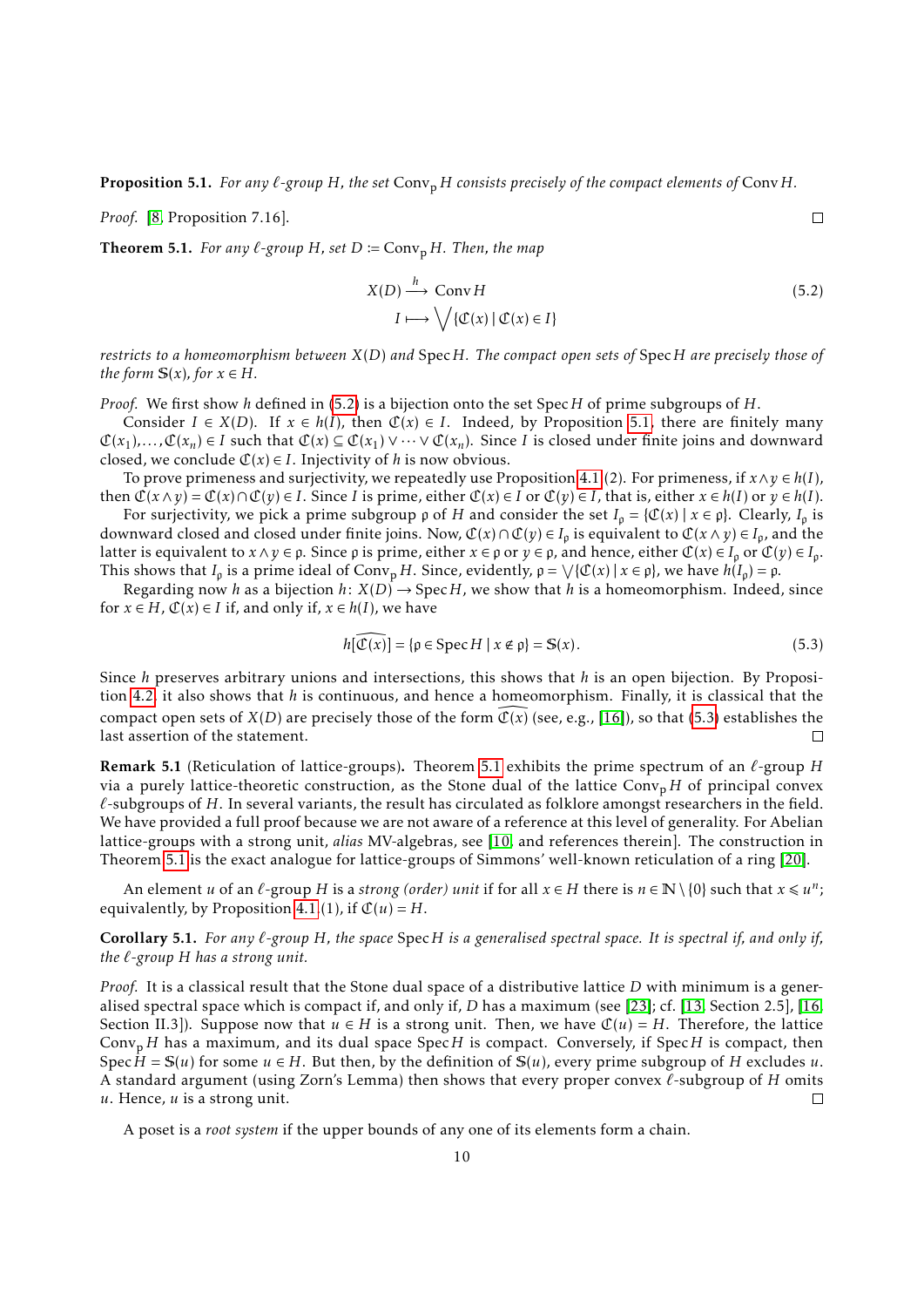<span id="page-9-1"></span>**Proposition 5.1.** *For any*  $\ell$ -group  $H$ *, the set*  $Conv_{\text{D}} H$  *consists precisely of the compact elements of*  $Conv_{\text{D}} H$ .

*Proof.* [\[8,](#page-21-4) Proposition 7.16].

<span id="page-9-3"></span>**Theorem 5.1.** *For any*  $\ell$ -group *H*, set  $D := \text{Conv}_{p} H$ *. Then, the map* 

$$
X(D) \xrightarrow{h} \text{Conv } H
$$
  
\n
$$
I \longmapsto \bigvee \{ \mathfrak{C}(x) \mid \mathfrak{C}(x) \in I \}
$$
\n
$$
(5.2)
$$

<span id="page-9-0"></span> $\Box$ 

*restricts to a homeomorphism between X*(*D*) *and* Spec*H. The compact open sets of* Spec*H are precisely those of the form*  $S(x)$ *, for*  $x \in H$ *.* 

*Proof.* We first show *h* defined in [\(5.2\)](#page-9-0) is a bijection onto the set Spec*H* of prime subgroups of *H*.

Consider  $I \in X(D)$ . If  $x \in h(I)$ , then  $\mathfrak{C}(x) \in I$ . Indeed, by Proposition [5.1,](#page-9-1) there are finitely many  $\mathfrak{C}(x_1),...,\mathfrak{C}(x_n) \in I$  such that  $\mathfrak{C}(x) \subseteq \mathfrak{C}(x_1) \vee \cdots \vee \mathfrak{C}(x_n)$ . Since *I* is closed under finite joins and downward closed, we conclude  $C(x) \in I$ . Injectivity of *h* is now obvious.

To prove primeness and surjectivity, we repeatedly use Proposition [4.1.](#page-7-2)(2). For primeness, if  $x \land y \in h(I)$ , then  $\mathcal{C}(x \wedge y) = \mathcal{C}(x) \cap \mathcal{C}(y) \in I$ . Since I is prime, either  $\mathcal{C}(x) \in I$  or  $\mathcal{C}(y) \in I$ , that is, either  $x \in h(I)$  or  $y \in h(I)$ .

For surjectivity, we pick a prime subgroup  $\rho$  of *H* and consider the set  $I_\rho = \{C(x) \mid x \in \rho\}$ . Clearly,  $I_\rho$  is downward closed and closed under finite joins. Now,  $\mathcal{C}(x) \cap \mathcal{C}(y) \in I_\rho$  is equivalent to  $\mathcal{C}(x \wedge y) \in I_\rho$ , and the latter is equivalent to  $x \wedge y \in \rho$ . Since  $\rho$  is prime, either  $x \in \rho$  or  $y \in \rho$ , and hence, either  $\mathfrak{C}(x) \in I_\rho$  or  $\mathfrak{C}(y) \in I_\rho$ . This shows that *I*<sub>p</sub> is a prime ideal of Conv<sub>p</sub> *H*. Since, evidently,  $\rho = \sqrt{\{\mathfrak{C}(x) \mid x \in \rho\}}$ , we have  $h(I_p) = \rho$ .

Regarding now *h* as a bijection *h*:  $X(D) \rightarrow$  Spec*H*, we show that *h* is a homeomorphism. Indeed, since for  $x \in H$ ,  $\mathbb{C}(x) \in I$  if, and only if,  $x \in h(I)$ , we have

<span id="page-9-2"></span>
$$
h[\widehat{\mathfrak{C}(x)}] = \{ \rho \in \operatorname{Spec} H \mid x \notin \rho \} = \mathbb{S}(x). \tag{5.3}
$$

Since *h* preserves arbitrary unions and intersections, this shows that *h* is an open bijection. By Proposition [4.2,](#page-7-3) it also shows that *h* is continuous, and hence a homeomorphism. Finally, it is classical that the compact open sets of *X*(*D*) are precisely those of the form  $\mathcal{C}(x)$  (see, e.g., [\[16\]](#page-21-10)), so that [\(5.3\)](#page-9-2) establishes the last assertion of the statement. last assertion of the statement.

**Remark [5.1](#page-9-3)** (Reticulation of lattice-groups). Theorem 5.1 exhibits the prime spectrum of an  $\ell$ -group *H* via a purely lattice-theoretic construction, as the Stone dual of the lattice  $Conv<sub>p</sub> H$  of principal convex  $\ell$ -subgroups of  $H$ . In several variants, the result has circulated as folklore amongst researchers in the field. We have provided a full proof because we are not aware of a reference at this level of generality. For Abelian lattice-groups with a strong unit, *alias* MV-algebras, see [\[10,](#page-21-11) and references therein]. The construction in Theorem [5.1](#page-9-3) is the exact analogue for lattice-groups of Simmons' well-known reticulation of a ring [\[20\]](#page-21-12).

An element *u* of an  $\ell$ -group *H* is a *strong (order) unit* if for all  $x \in H$  there is  $n \in \mathbb{N} \setminus \{0\}$  such that  $x \leq u^n$ ; equivalently, by Proposition [4.1.](#page-7-2)(1), if  $\mathcal{C}(u) = H$ .

# <span id="page-9-4"></span>Corollary 5.1. *For any `-group H, the space* Spec*H is a generalised spectral space. It is spectral if, and only if, the `-group H has a strong unit.*

*Proof.* It is a classical result that the Stone dual space of a distributive lattice *D* with minimum is a generalised spectral space which is compact if, and only if, *D* has a maximum (see [\[23\]](#page-21-9); cf. [\[13,](#page-21-13) Section 2.5], [\[16,](#page-21-10) Section II.3]). Suppose now that  $u \in H$  is a strong unit. Then, we have  $\mathfrak{C}(u) = H$ . Therefore, the lattice Conv<sup>p</sup> *H* has a maximum, and its dual space Spec*H* is compact. Conversely, if Spec*H* is compact, then Spec  $H = S(u)$  for some  $u \in H$ . But then, by the definition of  $S(u)$ , every prime subgroup of *H* excludes *u*. A standard argument (using Zorn's Lemma) then shows that every proper convex  $\ell$ -subgroup of *H* omits *u*. Hence, *u* is a strong unit.  $\Box$ 

A poset is a *root system* if the upper bounds of any one of its elements form a chain.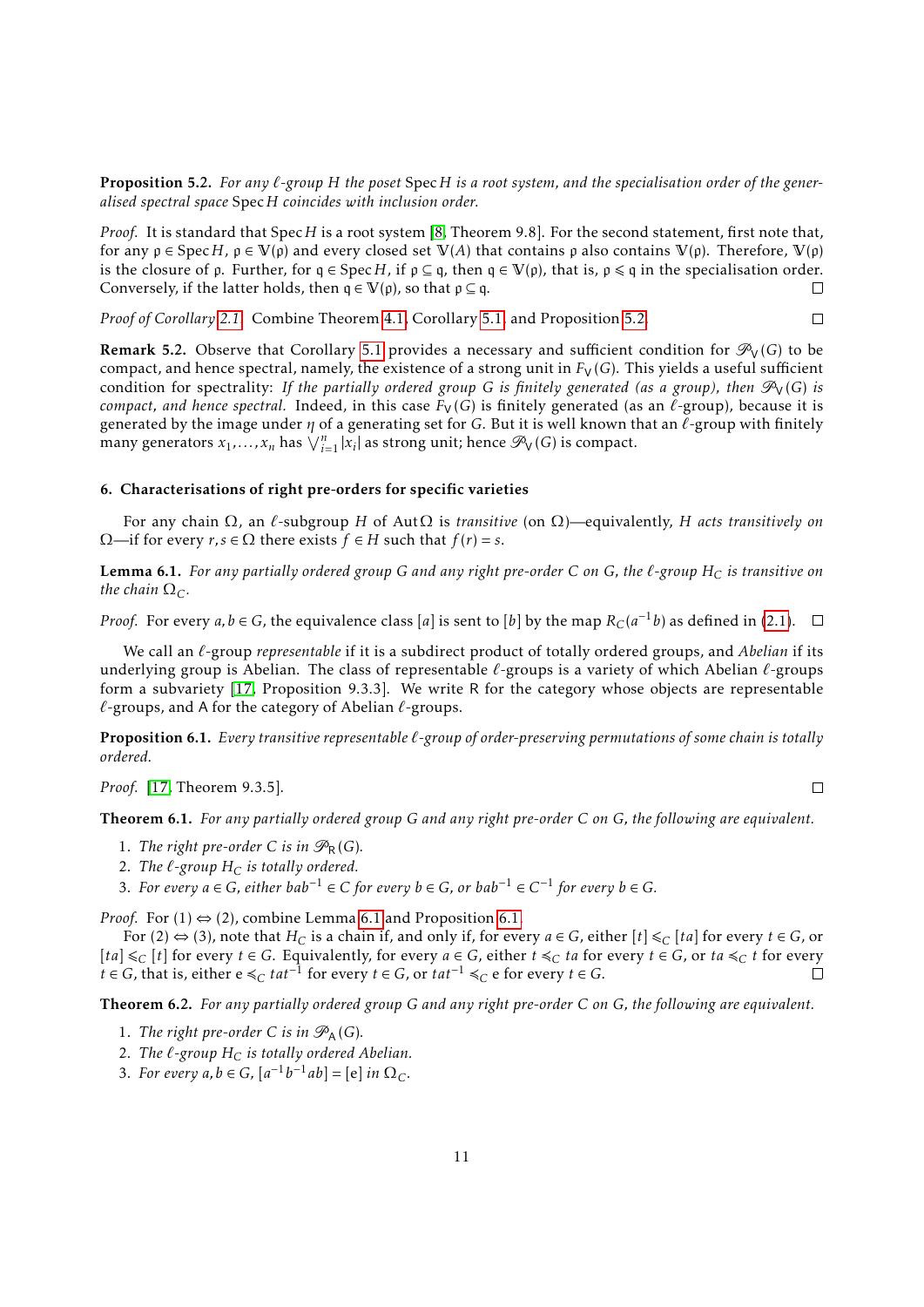<span id="page-10-3"></span>**Proposition 5.2.** For any  $\ell$ -group H the poset Spec H is a root system, and the specialisation order of the gener*alised spectral space* Spec*H coincides with inclusion order.*

*Proof.* It is standard that Spec*H* is a root system [\[8,](#page-21-4) Theorem 9.8]. For the second statement, first note that, for any  $p \in \text{Spec } H$ ,  $p \in V(p)$  and every closed set  $V(A)$  that contains p also contains  $V(p)$ . Therefore,  $V(p)$ is the closure of  $\rho$ . Further, for  $q \in Spec H$ , if  $p \subseteq q$ , then  $q \in V(p)$ , that is,  $p \leq q$  in the specialisation order. Conversely, if the latter holds, then  $q \in V(\rho)$ , so that  $\rho \subseteq q$ .  $\Box$ 

*Proof of Corollary [2.1.](#page-4-1)* Combine Theorem [4.1,](#page-8-3) Corollary [5.1,](#page-9-4) and Proposition [5.2.](#page-10-3)  $\Box$ 

**Remark 5.2.** Observe that Corollary [5.1](#page-9-4) provides a necessary and sufficient condition for  $\mathcal{P}_V(G)$  to be compact, and hence spectral, namely, the existence of a strong unit in  $F_V(G)$ . This yields a useful sufficient condition for spectrality: *If the partially ordered group G is finitely generated (as a group), then*  $\mathcal{P}_V(G)$  *is compact, and hence spectral.* Indeed, in this case  $F_V(G)$  is finitely generated (as an  $\ell$ -group), because it is generated by the image under *η* of a generating set for *G*. But it is well known that an *l*-group with finitely many generators  $x_1, \ldots, x_n$  has  $\bigvee_{i=1}^n |x_i|$  as strong unit; hence  $\mathcal{P}_V(G)$  is compact.

# <span id="page-10-0"></span>6. Characterisations of right pre-orders for specific varieties

For any chain Ω, an *`*-subgroup *H* of AutΩ is *transitive* (on Ω)—equivalently, *H acts transitively on*  $Ω$ —if for every *r*, *s* ∈ Ω there exists *f* ∈ *H* such that *f*(*r*) = *s*.

<span id="page-10-4"></span>**Lemma 6.1.** For any partially ordered group G and any right pre-order C on G, the  $\ell$ -group  $H_C$  is transitive on *the chain*  $\Omega_C$ *.* 

*Proof.* For every *a,b* ∈ *G*, the equivalence class [*a*] is sent to [*b*] by the map  $R_C(a^{-1}b)$  as defined in [\(2.1\)](#page-2-1).

We call an  $\ell$ -group *representable* if it is a subdirect product of totally ordered groups, and *Abelian* if its underlying group is Abelian. The class of representable  $\ell$ -groups is a variety of which Abelian  $\ell$ -groups form a subvariety [\[17,](#page-21-14) Proposition 9.3.3]. We write R for the category whose objects are representable  $\ell$ -groups, and A for the category of Abelian  $\ell$ -groups.

<span id="page-10-5"></span>Proposition 6.1. *Every transitive representable `-group of order-preserving permutations of some chain is totally ordered.*

*Proof.* [\[17,](#page-21-14) Theorem 9.3.5].

 $\Box$ 

<span id="page-10-1"></span>Theorem 6.1. *For any partially ordered group G and any right pre-order C on G, the following are equivalent.*

- 1. The right pre-order C is in  $\mathcal{P}_R(G)$ .
- 2. *The*  $\ell$ -group  $H_C$  *is totally ordered.*
- 3. For every  $a \in G$ , either  $bab^{-1} \in C$  for every  $b \in G$ , or  $bab^{-1} \in C^{-1}$  for every  $b \in G$ .

*Proof.* For  $(1) \Leftrightarrow (2)$ , combine Lemma [6.1](#page-10-4) and Proposition [6.1.](#page-10-5)

For (2)  $\Leftrightarrow$  (3), note that  $H_C$  is a chain if, and only if, for every  $a \in G$ , either  $[t] \leq_C [ta]$  for every  $t \in G$ , or  $[ta] ≤ C [t]$  for every  $t \in G$ . Equivalently, for every  $a \in G$ , either  $t ≤ C$  *ta* for every  $t \in G$ , or  $ta ≤ C$  *t* for every  $t \in G$ , that is, either  $e \leq C$  *tat*<sup>−1</sup> for every  $t \in G$ , or  $tat^{-1} \leq C$  e for every  $t \in G$ .

<span id="page-10-2"></span>Theorem 6.2. *For any partially ordered group G and any right pre-order C on G, the following are equivalent.*

- 1. *The right pre-order C is in*  $\mathcal{P}_A(G)$ *.*
- 2. The  $\ell$ -group  $H_C$  *is totally ordered Abelian.*
- 3. For every  $a, b \in G$ ,  $[a^{-1}b^{-1}ab] = [e]$  in  $\Omega_C$ .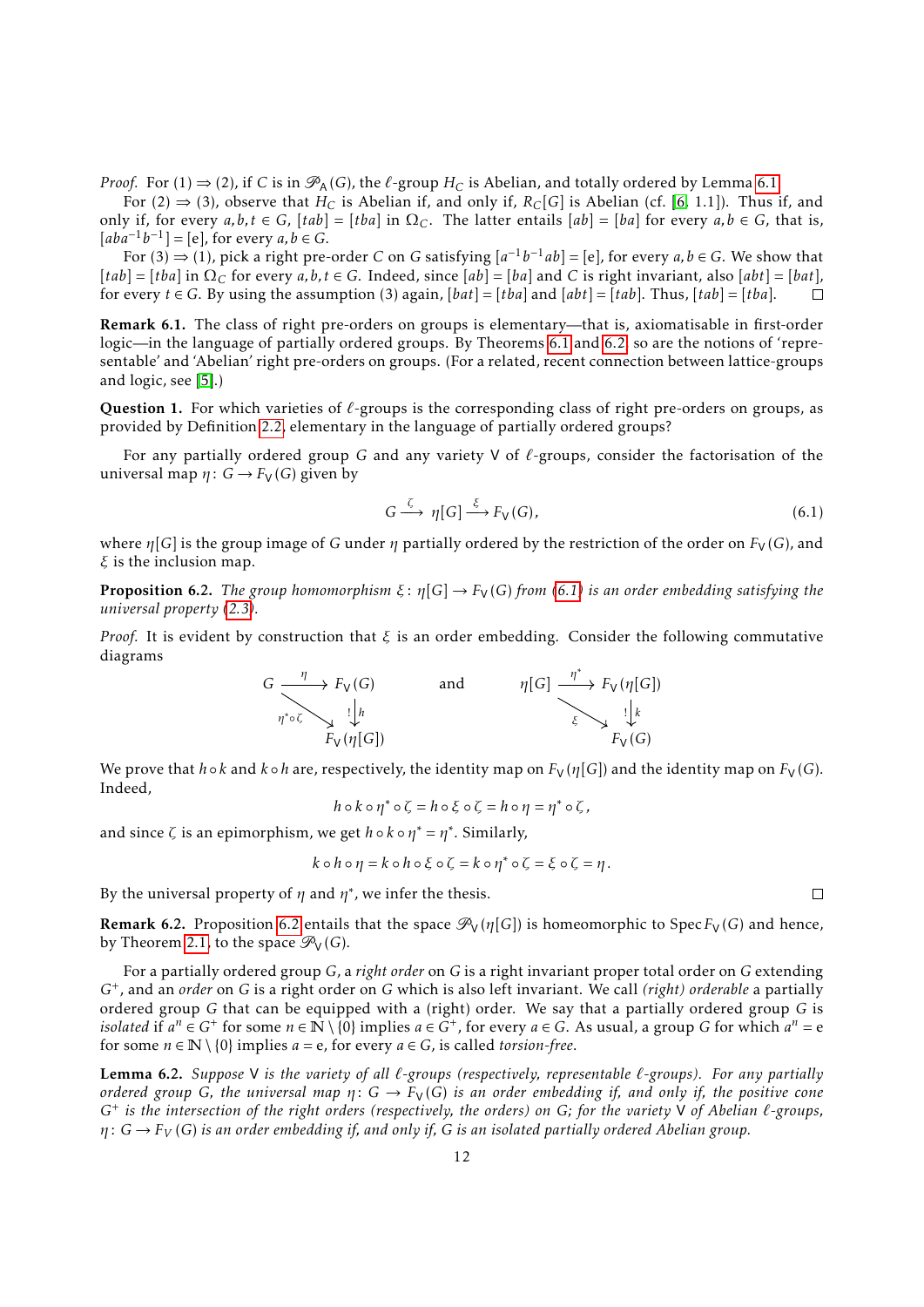*Proof.* For (1)  $\Rightarrow$  (2), if *C* is in  $\mathcal{P}_A(G)$ , the  $\ell$ -group  $H_C$  is Abelian, and totally ordered by Lemma [6.1.](#page-10-4)

For (2)  $\Rightarrow$  (3), observe that *H<sub>C</sub>* is Abelian if, and only if, *R<sub>C</sub>*[*G*] is Abelian (cf. [\[6,](#page-21-2) 1.1]). Thus if, and only if, for every  $a, b, t \in G$ ,  $[tab] = [tba]$  in  $\Omega_C$ . The latter entails  $[ab] = [ba]$  for every  $a, b \in G$ , that is,  $[aba^{-1}b^{-1}] = [e]$ , for every  $a, b \in G$ .

For  $(3) \Rightarrow (1)$ , pick a right pre-order *C* on *G* satisfying  $[a^{-1}b^{-1}ab] = [e]$ , for every  $a, b \in G$ . We show that  $[tab] = [tba]$  in  $\Omega_C$  for every  $a, b, t \in G$ . Indeed, since  $[ab] = [ba]$  and *C* is right invariant, also  $[ab] = [bat]$ , for every *t* ∈ *G*. By using the assumption (3) again, [*bat*] = [*tba*] and [*abt*] = [*tab*]. Thus, [*tab*] = [*tba*].  $\Box$ 

Remark 6.1. The class of right pre-orders on groups is elementary—that is, axiomatisable in first-order logic—in the language of partially ordered groups. By Theorems [6.1](#page-10-1) and [6.2,](#page-10-2) so are the notions of 'representable' and 'Abelian' right pre-orders on groups. (For a related, recent connection between lattice-groups and logic, see [\[5\]](#page-20-4).)

<span id="page-11-0"></span>Question 1. For which varieties of  $\ell$ -groups is the corresponding class of right pre-orders on groups, as provided by Definition [2.2,](#page-2-0) elementary in the language of partially ordered groups?

For any partially ordered group *G* and any variety V of  $\ell$ -groups, consider the factorisation of the universal map  $\eta: G \to F_V(G)$  given by

<span id="page-11-1"></span>
$$
G \xrightarrow{\zeta} \eta[G] \xrightarrow{\xi} F_V(G), \tag{6.1}
$$

where  $\eta[G]$  is the group image of *G* under  $\eta$  partially ordered by the restriction of the order on  $F_V(G)$ , and *ξ* is the inclusion map.

<span id="page-11-2"></span>**Proposition 6.2.** *The group homomorphism*  $\xi$ :  $\eta$ [G]  $\rightarrow$   $F_V$ (G) from [\(6.1\)](#page-11-1) *is an order embedding satisfying the universal property [\(2.3\)](#page-3-5).*

*Proof.* It is evident by construction that *ξ* is an order embedding. Consider the following commutative diagrams



We prove that  $h \circ k$  and  $k \circ h$  are, respectively, the identity map on  $F_V(\eta[G])$  and the identity map on  $F_V(G)$ . Indeed,

$$
h \circ k \circ \eta^* \circ \zeta = h \circ \xi \circ \zeta = h \circ \eta = \eta^* \circ \zeta,
$$

and since *ζ* is an epimorphism, we get *h* ◦ *k* ◦ *η* <sup>∗</sup> = *η* ∗ . Similarly,

$$
k \circ h \circ \eta = k \circ h \circ \xi \circ \zeta = k \circ \eta^* \circ \zeta = \xi \circ \zeta = \eta.
$$

By the universal property of  $\eta$  and  $\eta^*$ , we infer the thesis.

<span id="page-11-4"></span>**Remark [6.2](#page-11-2).** Proposition 6.2 entails that the space  $\mathcal{P}_V(\eta[G])$  is homeomorphic to Spec  $F_V(G)$  and hence, by Theorem [2.1,](#page-4-0) to the space  $\mathcal{P}_V(G)$ .

For a partially ordered group *G*, a *right order* on *G* is a right invariant proper total order on *G* extending *G*<sup>+</sup> , and an *order* on *G* is a right order on *G* which is also left invariant. We call *(right) orderable* a partially ordered group *G* that can be equipped with a (right) order. We say that a partially ordered group *G* is *isolated* if  $a^n \in G^+$  for some  $n \in \mathbb{N} \setminus \{0\}$  implies  $a \in G^+$ , for every  $a \in G$ . As usual, a group *G* for which  $a^n = e$ for some  $n \in \mathbb{N} \setminus \{0\}$  implies  $a = e$ , for every  $a \in G$ , is called *torsion-free*.

<span id="page-11-3"></span>Lemma 6.2. Suppose V is the variety of all  $\ell$ -groups (respectively, representable  $\ell$ -groups). For any partially *ordered group G*, the universal map  $\eta: G \to F_V(G)$  is an order embedding if, and only if, the positive cone *G*<sup>+</sup> *is the intersection of the right orders (respectively, the orders) on G; for the variety* V *of Abelian `-groups, η* : *G* → *F<sup>V</sup>* (*G*) *is an order embedding if, and only if, G is an isolated partially ordered Abelian group.*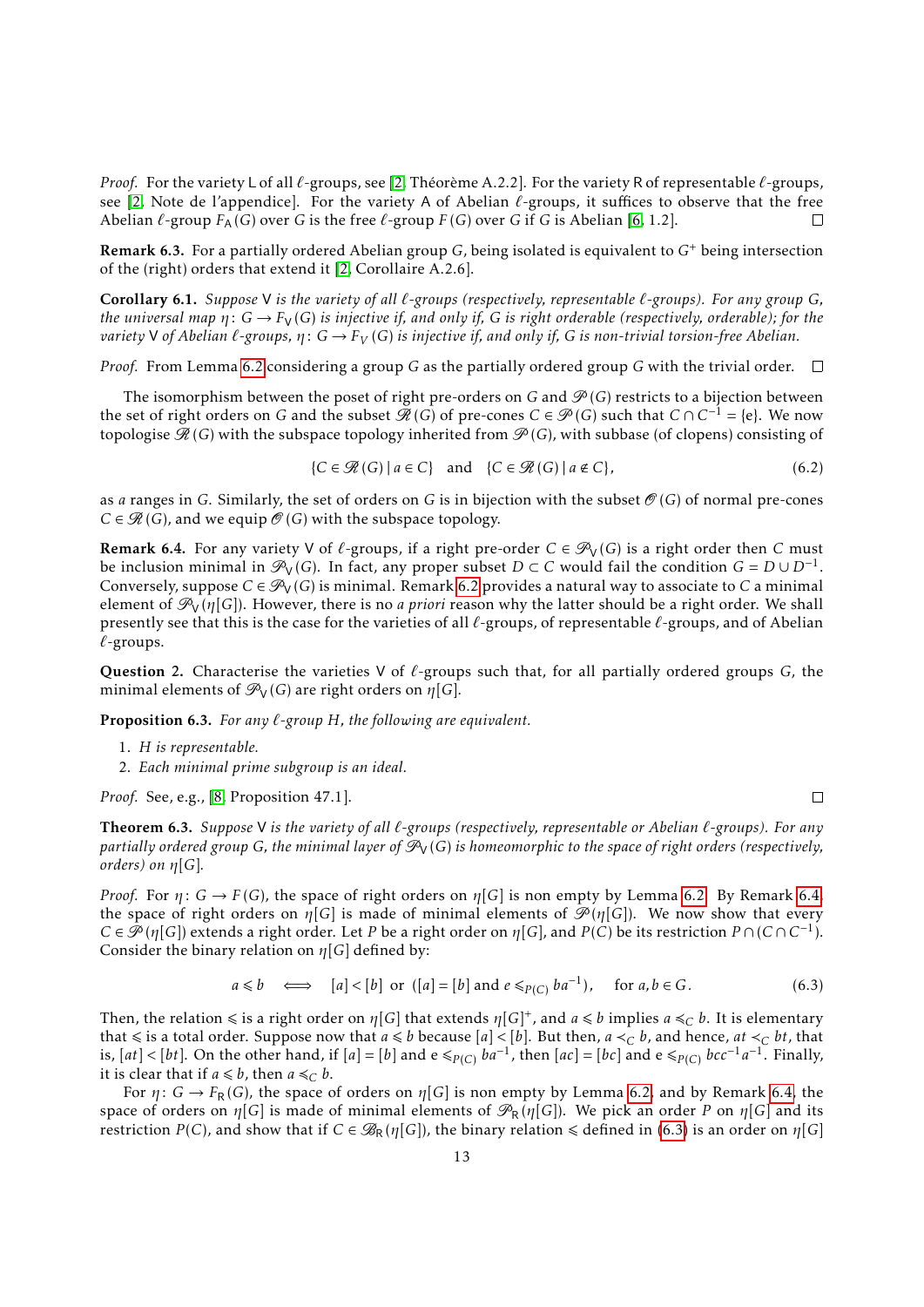*Proof.* For the variety L of all  $\ell$ -groups, see [\[2,](#page-20-1) Théorème A.2.2]. For the variety R of representable  $\ell$ -groups, see [\[2,](#page-20-1) Note de l'appendice]. For the variety A of Abelian *`*-groups, it suffices to observe that the free Abelian  $\ell$ -group  $F_A(G)$  over *G* is the free  $\ell$ -group  $F(G)$  over *G* if *G* is Abelian [\[6,](#page-21-2) 1.2].  $\Box$ 

Remark 6.3. For a partially ordered Abelian group *G*, being isolated is equivalent to *G*<sup>+</sup> being intersection of the (right) orders that extend it [\[2,](#page-20-1) Corollaire A.2.6].

Corollary 6.1. *Suppose* V *is the variety of all `-groups (respectively, representable `-groups). For any group G, the universal map*  $\eta: G \to F_V(G)$  *is injective if, and only if, G is right orderable (respectively, orderable); for the variety* V of Abelian  $\ell$ -groups,  $\eta: G \to F_V(G)$  is injective if, and only if, G is non-trivial torsion-free Abelian.

*Proof.* From Lemma [6.2](#page-11-3) considering a group *G* as the partially ordered group *G* with the trivial order.  $\Box$ 

The isomorphism between the poset of right pre-orders on *G* and  $\mathcal{P}(G)$  restricts to a bijection between the set of right orders on *G* and the subset  $\mathscr{H}(G)$  of pre-cones  $C \in \mathscr{P}(G)$  such that  $C \cap C^{-1} = \{e\}$ . We now topologise  $\mathcal{R}(G)$  with the subspace topology inherited from  $\mathcal{P}(G)$ , with subbase (of clopens) consisting of

<span id="page-12-4"></span>
$$
\{C \in \mathcal{R}(G) \mid a \in C\} \quad \text{and} \quad \{C \in \mathcal{R}(G) \mid a \notin C\},\tag{6.2}
$$

as *a* ranges in *G*. Similarly, the set of orders on *G* is in bijection with the subset  $\mathcal{O}(G)$  of normal pre-cones  $C \in \mathcal{R}(G)$ , and we equip  $\mathcal{O}(G)$  with the subspace topology.

<span id="page-12-1"></span>**Remark 6.4.** For any variety V of  $\ell$ -groups, if a right pre-order  $C \in \mathcal{P}_V(G)$  is a right order then C must be inclusion minimal in  $\mathcal{P}_V(G)$ . In fact, any proper subset  $D \subset C$  would fail the condition  $G = D \cup D^{-1}$ . Conversely, suppose  $C \in \mathcal{P}_V(G)$  is minimal. Remark [6.2](#page-11-4) provides a natural way to associate to *C* a minimal element of  $\mathcal{P}_V(\eta[G])$ . However, there is no *a priori* reason why the latter should be a right order. We shall presently see that this is the case for the varieties of all  $\ell$ -groups, of representable  $\ell$ -groups, and of Abelian *`*-groups.

Question 2. Characterise the varieties V of  $\ell$ -groups such that, for all partially ordered groups *G*, the minimal elements of  $\mathcal{P}_V(G)$  are right orders on  $\eta[G]$ .

<span id="page-12-3"></span>Proposition 6.3. *For any `-group H, the following are equivalent.*

- 1. *H is representable.*
- 2. *Each minimal prime subgroup is an ideal.*

*Proof.* See, e.g., [\[8,](#page-21-4) Proposition 47.1].

<span id="page-12-0"></span>Theorem 6.3. *Suppose* V *is the variety of all `-groups (respectively, representable or Abelian `-groups). For any partially ordered group G, the minimal layer of*  $\mathcal{P}_V(G)$  *is homeomorphic to the space of right orders (respectively, orders) on η*[*G*]*.*

*Proof.* For  $\eta$ :  $G \rightarrow F(G)$ , the space of right orders on  $\eta[G]$  is non empty by Lemma [6.2.](#page-11-3) By Remark [6.4,](#page-12-1) the space of right orders on  $\eta[G]$  is made of minimal elements of  $\mathscr{P}(\eta[G])$ . We now show that every  $C \in \mathscr{P}(\eta[G])$  extends a right order. Let *P* be a right order on  $\eta[G]$ , and  $P(C)$  be its restriction  $P \cap (C \cap C^{-1})$ . Consider the binary relation on *η*[*G*] defined by:

<span id="page-12-2"></span>
$$
a \leq b \quad \Longleftrightarrow \quad [a] < [b] \text{ or } ([a] = [b] \text{ and } e \leq_{P(C)} ba^{-1}), \quad \text{ for } a, b \in G. \tag{6.3}
$$

Then, the relation  $\leq$  is a right order on  $\eta[G]$  that extends  $\eta[G]^+$ , and  $a \leq b$  implies  $a \leq_C b$ . It is elementary that  $\le$  is a total order. Suppose now that  $a \le b$  because  $[a] < [b]$ . But then,  $a \lt_C b$ , and hence,  $at \lt_C bt$ , that is,  $[at] < [bt]$ . On the other hand, if  $[a] = [b]$  and  $e \leq_{P(C)} ba^{-1}$ , then  $[ac] = [bc]$  and  $e \leq_{P(C)} bcc^{-1}a^{-1}$ . Finally, it is clear that if  $a \leq b$ , then  $a \leq_C b$ .

For  $\eta: G \to F_R(G)$ , the space of orders on  $\eta[G]$  is non empty by Lemma [6.2,](#page-11-3) and by Remark [6.4,](#page-12-1) the space of orders on  $\eta[G]$  is made of minimal elements of  $\mathcal{P}_R(\eta[G])$ . We pick an order *P* on  $\eta[G]$  and its restriction *P*(*C*), and show that if  $C \in \mathcal{B}_R(\eta[G])$ , the binary relation  $\leq$  defined in [\(6.3\)](#page-12-2) is an order on  $\eta[G]$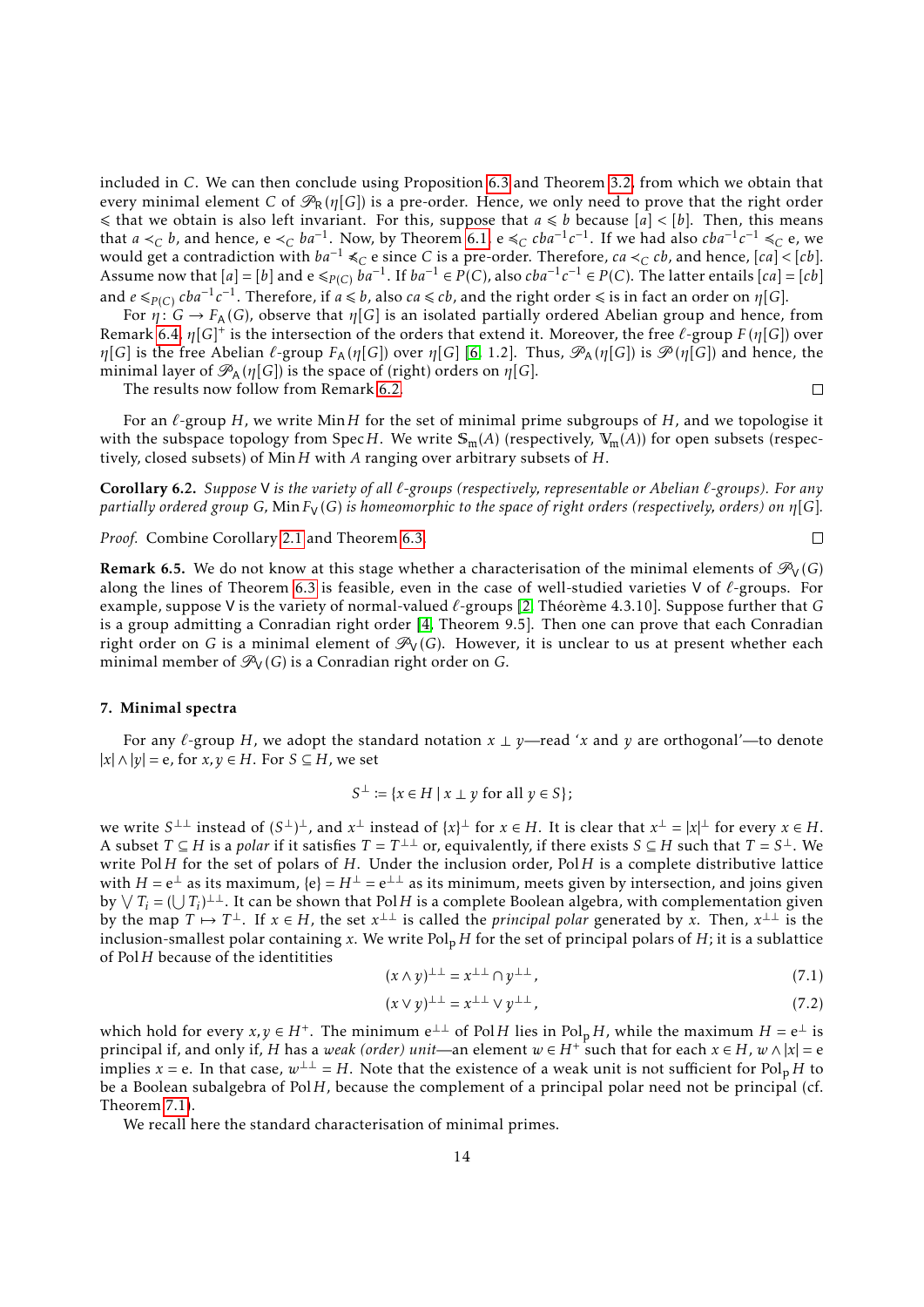included in *C*. We can then conclude using Proposition [6.3](#page-12-3) and Theorem [3.2,](#page-7-4) from which we obtain that every minimal element *C* of  $\mathcal{P}_R(\eta[G])$  is a pre-order. Hence, we only need to prove that the right order  $\leq$  that we obtain is also left invariant. For this, suppose that  $a \leq b$  because  $[a] \leq [b]$ . Then, this means that *a*  $\lt_C b$ , and hence, e  $\lt_C ba^{-1}$ . Now, by Theorem [6.1,](#page-10-1) e  $\leq_C cba^{-1}c^{-1}$ . If we had also  $cba^{-1}c^{-1}$  ≤<sub>*C*</sub> e, we would get a contradiction with  $ba^{-1}$  ≼*C* e since *C* is a pre-order. Therefore, *ca* ≺*C cb*, and hence, [*ca*] < [*cb*]. Assume now that  $[a] = [b]$  and  $e \leq_{P(C)} \bar{b}a^{-1}$ . If  $ba^{-1} \in P(C)$ , also  $cba^{-1}c^{-1} \in P(C)$ . The latter entails  $[ca] = [cb]$ and  $e \leqslant_{P(C)} cba^{-1}c^{-1}$ . Therefore, if  $a \leqslant b$ , also  $ca \leqslant cb$ , and the right order  $\leqslant$  is in fact an order on  $\eta[G].$ 

For  $\eta: G \to F_A(G)$ , observe that  $\eta[G]$  is an isolated partially ordered Abelian group and hence, from Remark [6.4,](#page-12-1) *η*[*G*] + is the intersection of the orders that extend it. Moreover, the free *`*-group *F* (*η*[*G*]) over *η*[*G*] is the free Abelian *l*-group  $F_A(\eta[G])$  over  $\eta[G]$  [\[6,](#page-21-2) 1.2]. Thus,  $\mathcal{P}_A(\eta[G])$  is  $\mathcal{P}(\eta[G])$  and hence, the minimal layer of  $\mathcal{P}_A(\eta[G])$  is the space of (right) orders on  $\eta[G]$ .

The results now follow from Remark [6.2.](#page-11-4)

 $\Box$ 

 $\Box$ 

For an  $\ell$ -group *H*, we write Min *H* for the set of minimal prime subgroups of *H*, and we topologise it with the subspace topology from Spec*H*. We write  $\mathbb{S}_m(A)$  (respectively,  $V_m(A)$ ) for open subsets (respectively, closed subsets) of Min*H* with *A* ranging over arbitrary subsets of *H*.

<span id="page-13-0"></span>Corollary 6.2. *Suppose* V *is the variety of all `-groups (respectively, representable or Abelian `-groups). For any partially ordered group G*, Min  $F_V(G)$  *is homeomorphic to the space of right orders (respectively, orders) on*  $\eta[G]$ *.* 

*Proof.* Combine Corollary [2.1](#page-4-1) and Theorem [6.3.](#page-12-0)

**Remark 6.5.** We do not know at this stage whether a characterisation of the minimal elements of  $\mathcal{P}_V(G)$ along the lines of Theorem [6.3](#page-12-0) is feasible, even in the case of well-studied varieties V of *`*-groups. For example, suppose V is the variety of normal-valued  $\ell$ -groups [\[2,](#page-20-1) Théorème 4.3.10]. Suppose further that *G* is a group admitting a Conradian right order [\[4,](#page-20-0) Theorem 9.5]. Then one can prove that each Conradian right order on *G* is a minimal element of  $\mathcal{P}_V(G)$ . However, it is unclear to us at present whether each minimal member of  $\mathcal{P}_V(G)$  is a Conradian right order on *G*.

# <span id="page-13-1"></span>7. Minimal spectra

For any  $\ell$ -group *H*, we adopt the standard notation  $x \perp y$ —read '*x* and *y* are orthogonal'—to denote  $|x|$  ∧  $|y|$  = e, for *x*, *y* ∈ *H*. For *S* ⊆ *H*, we set

$$
S^{\perp} := \{ x \in H \mid x \perp y \text{ for all } y \in S \};
$$

we write  $S^{\perp\perp}$  instead of  $(S^{\perp})^{\perp}$ , and  $x^{\perp}$  instead of  $\{x\}^{\perp}$  for  $x \in H$ . It is clear that  $x^{\perp} = |x|^{\perp}$  for every  $x \in H$ . A subset  $T \subseteq H$  is a *polar* if it satisfies  $T = T^{\perp\perp}$  or, equivalently, if there exists  $S \subseteq H$  such that  $T = S^{\perp}$ . We write Pol*H* for the set of polars of *H*. Under the inclusion order, Pol*H* is a complete distributive lattice with  $H = e^{\perp}$  as its maximum,  $\{e\} = H^{\perp} = e^{\perp\perp}$  as its minimum, meets given by intersection, and joins given by  $\vee T_i = (\bigcup T_i)^{\perp \perp}$ . It can be shown that Pol*H* is a complete Boolean algebra, with complementation given by the map  $T \mapsto T^{\perp}$ . If  $x \in H$ , the set  $x^{\perp\perp}$  is called the *principal polar* generated by x. Then,  $x^{\perp\perp}$  is the inclusion-smallest polar containing *x*. We write  $Pol<sub>p</sub> H$  for the set of principal polars of *H*; it is a sublattice of Pol*H* because of the identitities

<span id="page-13-2"></span>
$$
(x \wedge y)^{\perp \perp} = x^{\perp \perp} \cap y^{\perp \perp},\tag{7.1}
$$

<span id="page-13-3"></span>
$$
(x \lor y)^{\perp \perp} = x^{\perp \perp} \lor y^{\perp \perp},\tag{7.2}
$$

which hold for every  $x, y \in H^+$ . The minimum  $e^{\perp \perp}$  of Pol*H* lies in Pol<sub>p</sub> *H*, while the maximum  $H = e^{\perp}$  is principal if, and only if, *H* has a *weak (order) unit*—an element  $w \in H^+$  such that for each  $x \in H$ ,  $w \wedge |x| = e$ implies *x* = e. In that case,  $w^{\perp\perp} = H$ . Note that the existence of a weak unit is not sufficient for Pol<sub>p</sub> *H* to be a Boolean subalgebra of Pol*H*, because the complement of a principal polar need not be principal (cf. Theorem [7.1\)](#page-15-0).

We recall here the standard characterisation of minimal primes.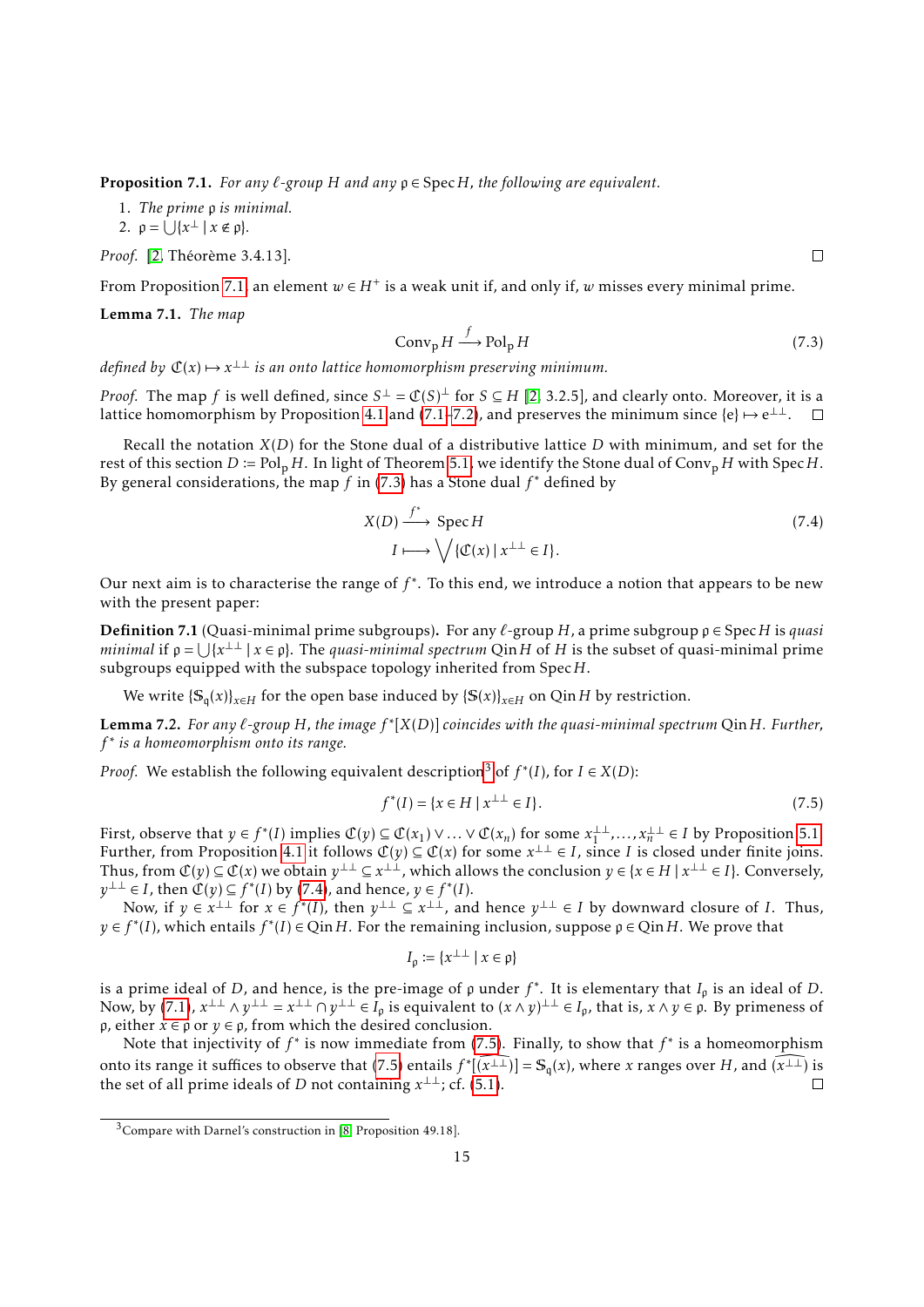<span id="page-14-0"></span>**Proposition 7.1.** *For any*  $\ell$ -group *H and any*  $\rho \in \text{Spec } H$ *, the following are equivalent.* 

1. *The prime* p *is minimal.*

2. 
$$
\rho = \bigcup \{ x^{\perp} \mid x \notin \rho \}.
$$

*Proof.* [\[2,](#page-20-1) Théorème 3.4.13].

From Proposition [7.1,](#page-14-0) an element  $w \in H^+$  is a weak unit if, and only if,  $w$  misses every minimal prime.

Lemma 7.1. *The map*

<span id="page-14-1"></span>
$$
Convp H \xrightarrow{f} Polp H
$$
\n(7.3)

*defined by*  $\mathfrak{C}(x) \mapsto x^{\perp\perp}$  is an onto lattice homomorphism preserving minimum.

*Proof.* The map *f* is well defined, since  $S^{\perp} = \mathbb{C}(S)^{\perp}$  for  $S \subseteq H$  [\[2,](#page-20-1) 3.2.5], and clearly onto. Moreover, it is a lattice homomorphism by Proposition [4.1](#page-7-2) and [\(7.1–](#page-13-2)[7.2\)](#page-13-3), and preserves the minimum since  $\{e\} \mapsto e^{\perp \perp}$ .

Recall the notation *X*(*D*) for the Stone dual of a distributive lattice *D* with minimum, and set for the rest of this section  $D := \text{Pol}_p H$ . In light of Theorem [5.1,](#page-9-3) we identify the Stone dual of Conv<sub>p</sub> *H* with Spec *H*. By general considerations, the map *f* in [\(7.3\)](#page-14-1) has a Stone dual *f* <sup>∗</sup> defined by

<span id="page-14-3"></span>
$$
X(D) \xrightarrow{f^*} \text{Spec } H
$$
  
\n
$$
I \longmapsto \bigvee \{ \mathfrak{C}(x) \mid x^{\perp \perp} \in I \}.
$$
\n
$$
(7.4)
$$

Our next aim is to characterise the range of  $f^*$ . To this end, we introduce a notion that appears to be new with the present paper:

**Definition** 7.1 (Quasi-minimal prime subgroups). For any  $\ell$ -group *H*, a prime subgroup  $\rho \in \text{Spec } H$  is *quasi minimal* if  $\rho = \bigcup \{x^{\perp\perp} \mid x \in \rho\}$ . The *quasi-minimal spectrum* Qin *H* of *H* is the subset of quasi-minimal prime subgroups equipped with the subspace topology inherited from Spec*H*.

We write  $\{\mathbb{S}_q(x)\}_{x\in H}$  for the open base induced by  $\{\mathbb{S}(x)\}_{x\in H}$  on Qin*H* by restriction.

<span id="page-14-5"></span>Lemma 7.2. *For any `-group H, the image f* ∗ [*X*(*D*)] *coincides with the quasi-minimal spectrum* Qin*H. Further, f* ∗ *is a homeomorphism onto its range.*

*Proof.* We establish the following equivalent description<sup>[3](#page-14-2)</sup> of  $f^*(I)$ , for  $I \in X(D)$ :

<span id="page-14-4"></span>
$$
f^*(I) = \{ x \in H \mid x^{\perp \perp} \in I \}. \tag{7.5}
$$

First, observe that  $y \in f^*(I)$  implies  $\mathcal{C}(y) \subseteq \mathcal{C}(x_1) \vee \dots \vee \mathcal{C}(x_n)$  for some  $x_1^{\perp \perp}$  $x_1^{\perp\perp},...,x_n^{\perp\perp}$  ∈ *I* by Proposition [5.1.](#page-9-1) Further, from Proposition [4.1](#page-7-2) it follows  $\mathcal{C}(y) \subseteq \mathcal{C}(x)$  for some  $x^{\perp\perp} \in I$ , since *I* is closed under finite joins. Thus, from  $\mathcal{C}(y) \subseteq \mathcal{C}(x)$  we obtain  $y^{\perp\perp} \subseteq x^{\perp\perp}$ , which allows the conclusion  $y \in \{x \in H \mid x^{\perp\perp} \in I\}$ . Conversely,  $y^{\perp\perp}$  ∈ *I*, then  $\mathfrak{C}(y) \subseteq f^*(I)$  by [\(7.4\)](#page-14-3), and hence,  $y \in f^*(I)$ .

Now, if  $y \in x^{\perp\perp}$  for  $x \in f^*(I)$ , then  $y^{\perp\perp} \subseteq x^{\perp\perp}$ , and hence  $y^{\perp\perp} \in I$  by downward closure of *I*. Thus,  $y \in f^*(I)$ , which entails  $f^*(I) \in Q$  in *H*. For the remaining inclusion, suppose  $\rho \in Q$  in *H*. We prove that

$$
I_{\rho}:=\{x^{\perp\perp}\mid x\in{\mathfrak p}\}
$$

is a prime ideal of *D*, and hence, is the pre-image of  $\rho$  under  $f^*$ . It is elementary that  $I_\rho$  is an ideal of *D*. Now, by [\(7.1\)](#page-13-2),  $x^{\perp\perp} \wedge y^{\perp\perp} = x^{\perp\perp} \cap y^{\perp\perp} \in I_p$  is equivalent to  $(x \wedge y)^{\perp\perp} \in I_p$ , that is,  $x \wedge y \in \rho$ . By primeness of  $\rho$ , either  $x \in \rho$  or  $y \in \rho$ , from which the desired conclusion.

Note that injectivity of *f*<sup>\*</sup> is now immediate from [\(7.5\)](#page-14-4). Finally, to show that *f*<sup>\*</sup> is a homeomorphism onto its range it suffices to observe that [\(7.5\)](#page-14-4) entails  $f^*[(\widehat{x^{\perp\perp}})] = S_q(x)$ , where *x* ranges over *H*, and  $(\widehat{x^{\perp\perp}})$  is the set of all prime ideals of *D* not containing  $x^{\perp\perp}$ ; cf. [\(5.1\)](#page-8-4). П

<span id="page-14-2"></span><sup>3</sup>Compare with Darnel's construction in [\[8,](#page-21-4) Proposition 49.18].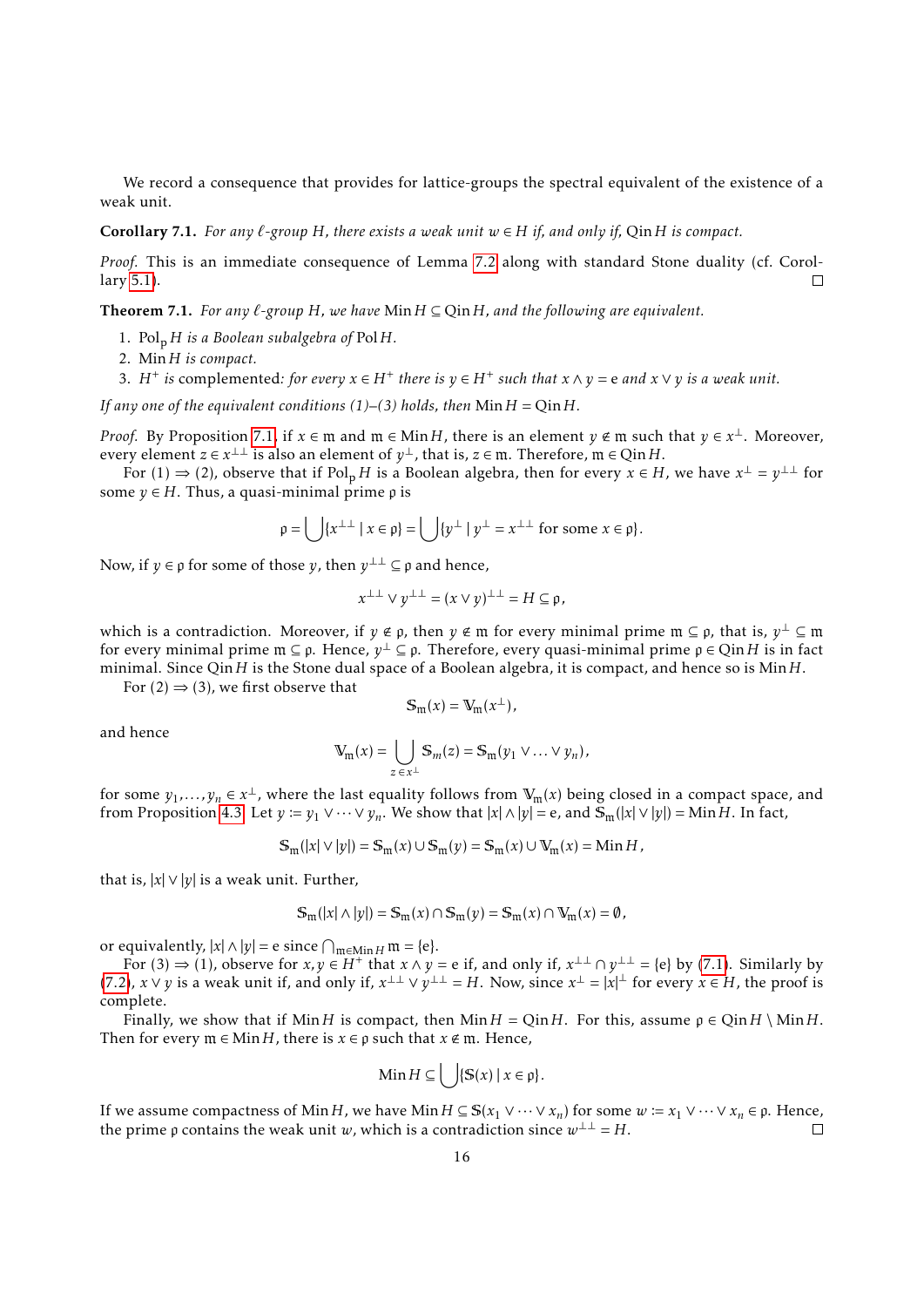We record a consequence that provides for lattice-groups the spectral equivalent of the existence of a weak unit.

**Corollary 7.1.** *For any*  $\ell$ -group *H, there exists a weak unit*  $w \in H$  *if, and only if, Oin H is compact.* 

*Proof.* This is an immediate consequence of Lemma [7.2](#page-14-5) along with standard Stone duality (cf. Corollary [5.1\)](#page-9-4).  $\Box$ 

<span id="page-15-0"></span>**Theorem 7.1.** *For any*  $\ell$ -group *H,* we have Min  $H \subseteq Q$ in *H, and the following are equivalent.* 

- 1. Pol<sup>p</sup> *H is a Boolean subalgebra of* Pol*H.*
- 2. Min*H is compact.*
- 3. *H*<sup>+</sup> *is* complemented: for *every*  $x \in H^+$  *there is*  $y \in H^+$  *such that*  $x \wedge y = e$  *and*  $x \vee y$  *is a weak unit.*

*If any one of the equivalent conditions (1)–(3) holds, then*  $Min H = Qin H$ *.* 

*Proof.* By Proposition [7.1,](#page-14-0) if  $x \in \mathfrak{m}$  and  $\mathfrak{m} \in \mathsf{Min}\,H$ , there is an element  $y \notin \mathfrak{m}$  such that  $y \in x^{\perp}$ . Moreover, every element  $z \in x^{\perp \perp}$  is also an element of  $y^{\perp}$ , that is,  $z \in \mathfrak{m}$ . Therefore,  $\mathfrak{m} \in Q$  in H.

For (1)  $\Rightarrow$  (2), observe that if Pol<sub>p</sub> *H* is a Boolean algebra, then for every  $x \in H$ , we have  $x^{\perp} = y^{\perp \perp}$  for some  $y \in H$ . Thus, a quasi-minimal prime  $\rho$  is

$$
\rho = \bigcup \{x^{\perp \perp} \mid x \in \rho\} = \bigcup \{y^{\perp} \mid y^{\perp} = x^{\perp \perp} \text{ for some } x \in \rho\}.
$$

Now, if  $y \in \rho$  for some of those  $y$ , then  $y^{\perp \perp} \subseteq \rho$  and hence,

$$
x^{\perp\perp} \vee y^{\perp\perp} = (x \vee y)^{\perp\perp} = H \subseteq \mathfrak{p},
$$

which is a contradiction. Moreover, if  $y \notin \mathfrak{p}$ , then  $y \notin \mathfrak{m}$  for every minimal prime  $\mathfrak{m} \subseteq \mathfrak{p}$ , that is,  $y^{\perp} \subseteq \mathfrak{m}$ for every minimal prime m ⊆ p. Hence, *y* <sup>⊥</sup> ⊆ p. Therefore, every quasi-minimal prime p ∈ Qin*H* is in fact minimal. Since Qin*H* is the Stone dual space of a Boolean algebra, it is compact, and hence so is Min*H*.

For  $(2) \Rightarrow (3)$ , we first observe that

$$
\mathbb{S}_{\mathfrak{m}}(x) = \mathbb{V}_{\mathfrak{m}}(x^{\perp}),
$$

and hence

$$
\mathbb{V}_{\mathfrak{m}}(x) = \bigcup_{z \in x^{\perp}} \mathbb{S}_m(z) = \mathbb{S}_{\mathfrak{m}}(y_1 \vee \ldots \vee y_n),
$$

for some  $y_1,...,y_n \in x^{\perp}$ , where the last equality follows from  $\mathbb{V}_m(x)$  being closed in a compact space, and from Proposition [4.3.](#page-8-1) Let  $y := y_1 \vee \cdots \vee y_n$ . We show that  $|x| \wedge |y| = e$ , and  $\mathbb{S}_m(|x| \vee |y|) = \text{Min } H$ . In fact,

$$
\mathbb{S}_{\mathfrak{m}}(|x| \vee |y|) = \mathbb{S}_{\mathfrak{m}}(x) \cup \mathbb{S}_{\mathfrak{m}}(y) = \mathbb{S}_{\mathfrak{m}}(x) \cup \mathbb{V}_{\mathfrak{m}}(x) = \text{Min } H,
$$

that is,  $|x| \vee |y|$  is a weak unit. Further,

$$
\mathbb{S}_{\mathfrak{m}}(|x| \wedge |y|) = \mathbb{S}_{\mathfrak{m}}(x) \cap \mathbb{S}_{\mathfrak{m}}(y) = \mathbb{S}_{\mathfrak{m}}(x) \cap \mathbb{V}_{\mathfrak{m}}(x) = \emptyset,
$$

or equivalently,  $|x| \wedge |y| = e$  since  $\bigcap_{m \in \text{Min } H} m = \{e\}.$ 

For (3)  $\Rightarrow$  (1), observe for *x*, *y* ∈ *H*<sup>+</sup> that *x* ∧ *y* = e if, and only if, *x*<sup>⊥⊥</sup> ∩ *y*<sup>⊥⊥</sup> = {e} by [\(7.1\)](#page-13-2). Similarly by [\(7.2\)](#page-13-3),  $x \vee y$  is a weak unit if, and only if,  $x^{\perp\perp} \vee y^{\perp\perp} = H$ . Now, since  $x^{\perp} = |x|^{\perp}$  for every  $x \in H$ , the proof is complete.

Finally, we show that if Min*H* is compact, then Min*H* = Qin*H*. For this, assume  $p \in Q$ in*H* \ Min*H*. Then for every  $m \in \text{Min } H$ , there is  $x \in \rho$  such that  $x \notin m$ . Hence,

$$
\text{Min}\,H\subseteq \left\{\ \left|\left\{\mathbb{S}(x)\,\right|\,x\in\mathfrak{p}\right\}\right\}.
$$

If we assume compactness of Min*H*, we have Min*H* ⊆ S(*x*<sub>1</sub> ∨ ··· ∨*x<sub>n</sub>*) for some *w* ≔ *x*<sub>1</sub> ∨ ··· ∨ *x<sub>n</sub>* ∈ *p*. Hence, the prime a contains the weak unit *w*, which is a contradiction since  $w^{\perp\perp} = H$ the prime  $\rho$  contains the weak unit *w*, which is a contradiction since  $w^{\perp \perp} = H$ .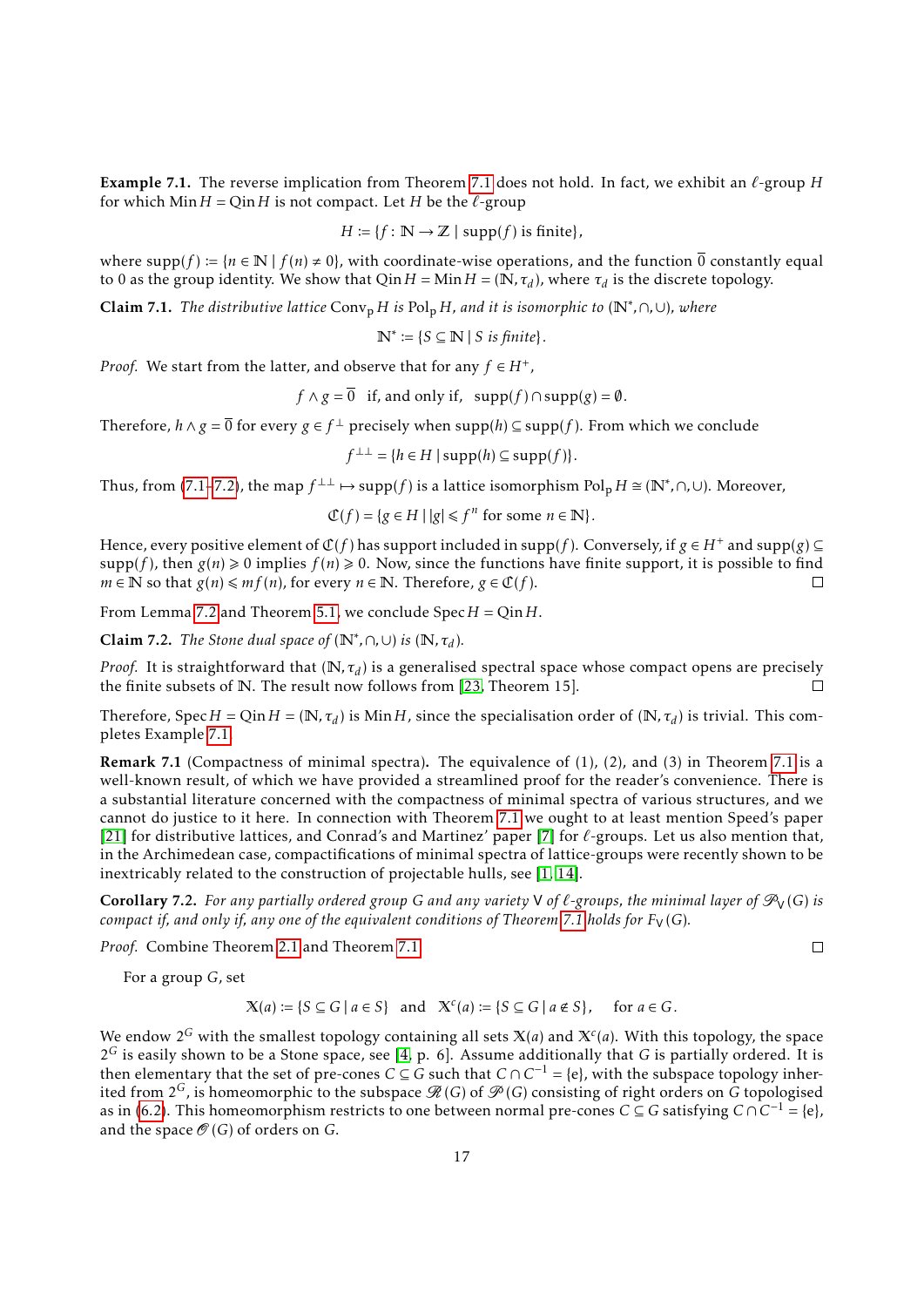<span id="page-16-1"></span>**Example [7.1](#page-15-0).** The reverse implication from Theorem 7.1 does not hold. In fact, we exhibit an  $\ell$ -group *H* for which  $Min H = Qin H$  is not compact. Let *H* be the  $\ell$ -group

$$
H := \{ f : \mathbb{N} \to \mathbb{Z} \mid \text{supp}(f) \text{ is finite} \},
$$

where  $supp(f) := {n \in \mathbb{N} \mid f(n) \neq 0}$ , with coordinate-wise operations, and the function  $\overline{0}$  constantly equal to 0 as the group identity. We show that  $Q$ in  $H = Min H = (N, \tau_d)$ , where  $\tau_d$  is the discrete topology.

Claim 7.1. *The distributive lattice* Conv<sup>p</sup> *<sup>H</sup> is* Pol<sup>p</sup> *<sup>H</sup>, and it is isomorphic to* (N<sup>∗</sup> *,*∩*,*∪)*, where*

$$
\mathbb{N}^* \coloneqq \{ S \subseteq \mathbb{N} \mid S \text{ is finite} \}.
$$

*Proof.* We start from the latter, and observe that for any  $f \in H^+$ ,

$$
f \wedge g = \overline{0}
$$
 if, and only if,  $supp(f) \cap supp(g) = \emptyset$ .

Therefore,  $h \wedge g = \overline{0}$  for every  $g \in f^{\perp}$  precisely when  $\text{supp}(h) \subseteq \text{supp}(f)$ . From which we conclude

$$
f^{\perp \perp} = \{ h \in H \mid \operatorname{supp}(h) \subseteq \operatorname{supp}(f) \}.
$$

Thus, from [\(7.1–](#page-13-2)[7.2\)](#page-13-3), the map  $f^{\perp\perp} \mapsto \text{supp}(f)$  is a lattice isomorphism  $\text{Pol}_p H \cong (\mathbb{N}^*, \cap, \cup)$ . Moreover,

 $\mathcal{L}(f) = \{ g \in H \mid |g| \leq f^n \text{ for some } n \in \mathbb{N} \}.$ 

Hence, every positive element of  $C(f)$  has support included in supp(*f*). Conversely, if  $g \in H^+$  and supp(*g*)  $\subseteq$  $supp(f)$ , then  $g(n) \ge 0$  implies  $f(n) \ge 0$ . Now, since the functions have finite support, it is possible to find *m* ∈ **N** so that *g*(*n*)  $\leq$  *mf*(*n*), for every *n* ∈ **N**. Therefore, *g* ∈  $\mathcal{C}(f)$ .  $\Box$ 

From Lemma [7.2](#page-14-5) and Theorem [5.1,](#page-9-3) we conclude Spec*H* = Qin*H*.

**Claim 7.2.** *The Stone dual space of*  $(\mathbb{N}^*, \cap, \cup)$  *is*  $(\mathbb{N}, \tau_d)$ *.* 

*Proof.* It is straightforward that ( $\mathbb{N}, \tau_d$ ) is a generalised spectral space whose compact opens are precisely the finite subsets of N. The result now follows from [\[23,](#page-21-9) Theorem 15].  $\Box$ 

Therefore, Spec  $H = Q$ in  $H = (\mathbb{N}, \tau_d)$  is Min  $H$ , since the specialisation order of  $(\mathbb{N}, \tau_d)$  is trivial. This completes Example [7.1.](#page-16-1)

**Remark [7.1](#page-15-0)** (Compactness of minimal spectra). The equivalence of  $(1)$ ,  $(2)$ , and  $(3)$  in Theorem 7.1 is a well-known result, of which we have provided a streamlined proof for the reader's convenience. There is a substantial literature concerned with the compactness of minimal spectra of various structures, and we cannot do justice to it here. In connection with Theorem [7.1](#page-15-0) we ought to at least mention Speed's paper [\[21\]](#page-21-15) for distributive lattices, and Conrad's and Martinez' paper [\[7\]](#page-21-16) for  $\ell$ -groups. Let us also mention that, in the Archimedean case, compactifications of minimal spectra of lattice-groups were recently shown to be inextricably related to the construction of projectable hulls, see [\[1,](#page-20-5) [14\]](#page-21-17).

<span id="page-16-0"></span>**Corollary 7.2.** For any partially ordered group G and any variety V of  $\ell$ -groups, the minimal layer of  $\mathcal{P}_V(G)$  is *compact if, and only if, any one of the equivalent conditions of Theorem [7.1](#page-15-0) holds for*  $F_V(G)$ *.* 

*Proof.* Combine Theorem [2.1](#page-4-0) and Theorem [7.1.](#page-15-0)

For a group *G*, set

$$
\mathbb{X}(a) := \{ S \subseteq G \mid a \in S \} \quad \text{and} \quad \mathbb{X}^c(a) := \{ S \subseteq G \mid a \notin S \}, \quad \text{for } a \in G.
$$

We endow  $2^G$  with the smallest topology containing all sets  $\mathbb{X}(a)$  and  $\mathbb{X}^c(a)$ . With this topology, the space 2 *<sup>G</sup>* is easily shown to be a Stone space, see [\[4,](#page-20-0) p. 6]. Assume additionally that *G* is partially ordered. It is then elementary that the set of pre-cones  $C \subseteq G$  such that  $C \cap C^{-1} = \{e\}$ , with the subspace topology inherited from  $2^G$ , is homeomorphic to the subspace  $\mathcal{R}(G)$  of  $\mathcal{P}(G)$  consisting of right orders on G topologised as in [\(6.2\)](#page-12-4). This homeomorphism restricts to one between normal pre-cones  $C \subseteq G$  satisfying  $C \cap C^{-1} = \{e\}$ , and the space  $\mathcal{O}(G)$  of orders on *G*.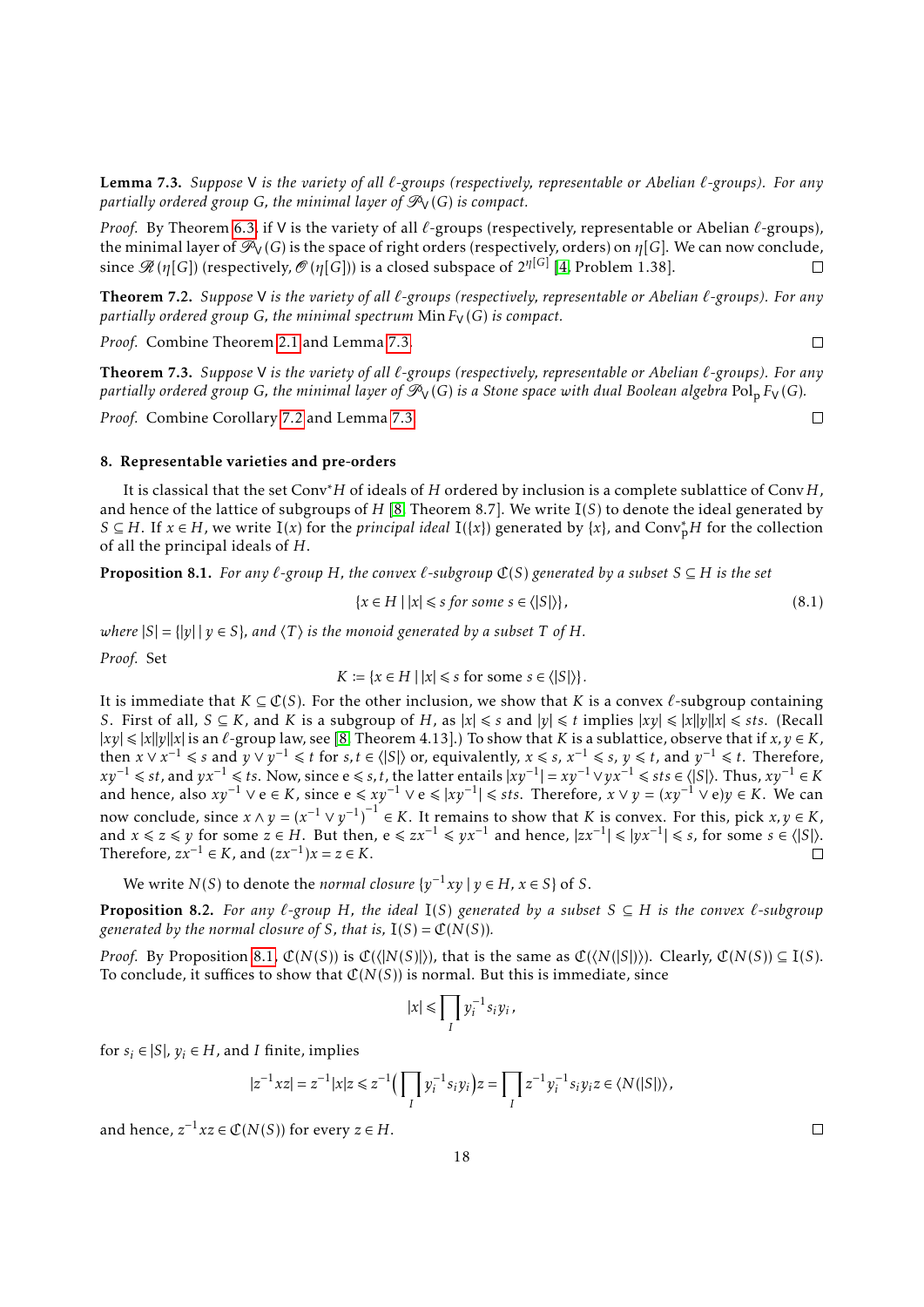<span id="page-17-3"></span>Lemma 7.3. *Suppose* V *is the variety of all `-groups (respectively, representable or Abelian `-groups). For any partially ordered group G, the minimal layer of*  $\mathcal{P}_V(G)$  *is compact.* 

*Proof.* By Theorem [6.3,](#page-12-0) if V is the variety of all  $\ell$ -groups (respectively, representable or Abelian  $\ell$ -groups), the minimal layer of  $\mathcal{P}_V(G)$  is the space of right orders (respectively, orders) on  $\eta[G]$ . We can now conclude, since  $\mathscr{R}(\eta[G])$  (respectively,  $\mathscr{O}(\eta[G]))$  is a closed subspace of 2<sup>η[G]</sup> [\[4,](#page-20-0) Problem 1.38].  $\Box$ 

<span id="page-17-0"></span>Theorem 7.2. *Suppose* V *is the variety of all `-groups (respectively, representable or Abelian `-groups). For any partially ordered group G, the minimal spectrum*  $Min F<sub>V</sub>(G)$  *is compact.* 

*Proof.* Combine Theorem [2.1](#page-4-0) and Lemma [7.3.](#page-17-3)

<span id="page-17-1"></span>Theorem 7.3. *Suppose* V *is the variety of all `-groups (respectively, representable or Abelian `-groups). For any partially ordered group G, the minimal layer of*  $\mathcal{P}_V(G)$  *is a Stone space with dual Boolean algebra* Pol<sub>p</sub>  $F_V(G)$ *.* 

*Proof.* Combine Corollary [7.2](#page-16-0) and Lemma [7.3.](#page-17-3)

#### <span id="page-17-2"></span>8. Representable varieties and pre-orders

It is classical that the set Conv∗*H* of ideals of *H* ordered by inclusion is a complete sublattice of Conv*H*, and hence of the lattice of subgroups of *H* [\[8,](#page-21-4) Theorem 8.7]. We write I(*S*) to denote the ideal generated by *S* ⊆ *H*. If *x* ∈ *H*, we write I(*x*) for the *principal ideal* I({*x*}) generated by {*x*}, and Conv<sup>\*</sup><sub>p</sub>*H* for the collection of all the principal ideals of *H*.

<span id="page-17-4"></span>**Proposition 8.1.** *For any*  $\ell$ -group *H*, the convex  $\ell$ -subgroup  $\mathfrak{C}(S)$  generated by a subset  $S \subseteq H$  is the set

$$
\{x \in H \mid |x| \le s \text{ for some } s \in \langle |S| \rangle\},\tag{8.1}
$$

*where*  $|S| = |y||y \in S$ *, and*  $\langle T \rangle$  *is the monoid generated by a subset T of H.* 

*Proof.* Set

$$
K := \{x \in H \mid |x| \leq s \text{ for some } s \in \langle |S| \rangle\}.
$$

It is immediate that  $K \subseteq \mathcal{C}(S)$ . For the other inclusion, we show that *K* is a convex  $\ell$ -subgroup containing *S*. First of all,  $S \subseteq K$ , and  $K$  is a subgroup of  $H$ , as  $|x| \le s$  and  $|y| \le t$  implies  $|xy| \le |x||y||x| \le s$ ts. (Recall  $|xy| \le |x||y||x|$  is an  $\ell$ -group law, see [\[8,](#page-21-4) Theorem 4.13].) To show that *K* is a sublattice, observe that if  $x, y \in K$ , then  $x \vee x^{-1} \leq s$  and  $y \vee y^{-1} \leq t$  for  $s, t \in \langle |S| \rangle$  or, equivalently,  $x \leq s$ ,  $x^{-1} \leq s$ ,  $y \leq t$ , and  $y^{-1} \leq t$ . Therefore,  $xy^{-1}$  ≤ *st*, and  $yx^{-1}$  ≤ *ts*. Now, since e ≤ *s*, *t*, the latter entails  $|xy^{-1}| = xy^{-1} \vee yx^{-1}$  ≤ *sts* ∈  $\langle |S| \rangle$ . Thus,  $xy^{-1}$  ∈ *K* and hence, also  $xy^{-1} \lor e \in K$ , since  $e \leq x y^{-1} \lor e \leq |xy^{-1}| \leq sts$ . Therefore,  $x \lor y = (xy^{-1} \lor e)y \in K$ . We can now conclude, since  $x \wedge y = (x^{-1} \vee y^{-1})^{-1} \in K$ . It remains to show that *K* is convex. For this, pick *x*, *y* ∈ *K*, and  $x \le z \le y$  for some  $z \in H$ . But then,  $e \le zx^{-1} \le yx^{-1}$  and hence,  $|zx^{-1}| \le |yx^{-1}| \le s$ , for some  $s \in \langle |S| \rangle$ . Therefore,  $zx^{-1} \in K$ , and  $(zx^{-1})x = z \in K$ .  $\Box$ 

We write *N*(*S*) to denote the *normal closure*  $\{y^{-1}xy \mid y \in H, x \in S\}$  of *S*.

<span id="page-17-5"></span>**Proposition 8.2.** For any  $\ell$ -group H, the ideal I(S) generated by a subset  $S \subseteq H$  is the convex  $\ell$ -subgroup *generated by the normal closure of S, that is,*  $I(S) = \mathcal{C}(N(S))$ *.* 

*Proof.* By Proposition [8.1,](#page-17-4)  $\mathcal{C}(N(S))$  is  $\mathcal{C}(\langle N(S) \rangle)$ , that is the same as  $\mathcal{C}(\langle N(S) \rangle)$ . Clearly,  $\mathcal{C}(N(S)) \subseteq I(S)$ . To conclude, it suffices to show that  $\mathcal{C}(N(S))$  is normal. But this is immediate, since

$$
|x| \leq \prod_I y_i^{-1} s_i y_i,
$$

for  $s_i \in |S|$ ,  $v_i \in H$ , and *I* finite, implies

$$
|z^{-1}xz| = z^{-1}|x|z \le z^{-1} \Big( \prod_I y_i^{-1} s_i y_i \Big) z = \prod_I z^{-1} y_i^{-1} s_i y_i z \in \langle N(|S|) \rangle,
$$

and hence,  $z^{-1}xz \in \mathbb{C}(N(S))$  for every  $z \in H$ .

 $\Box$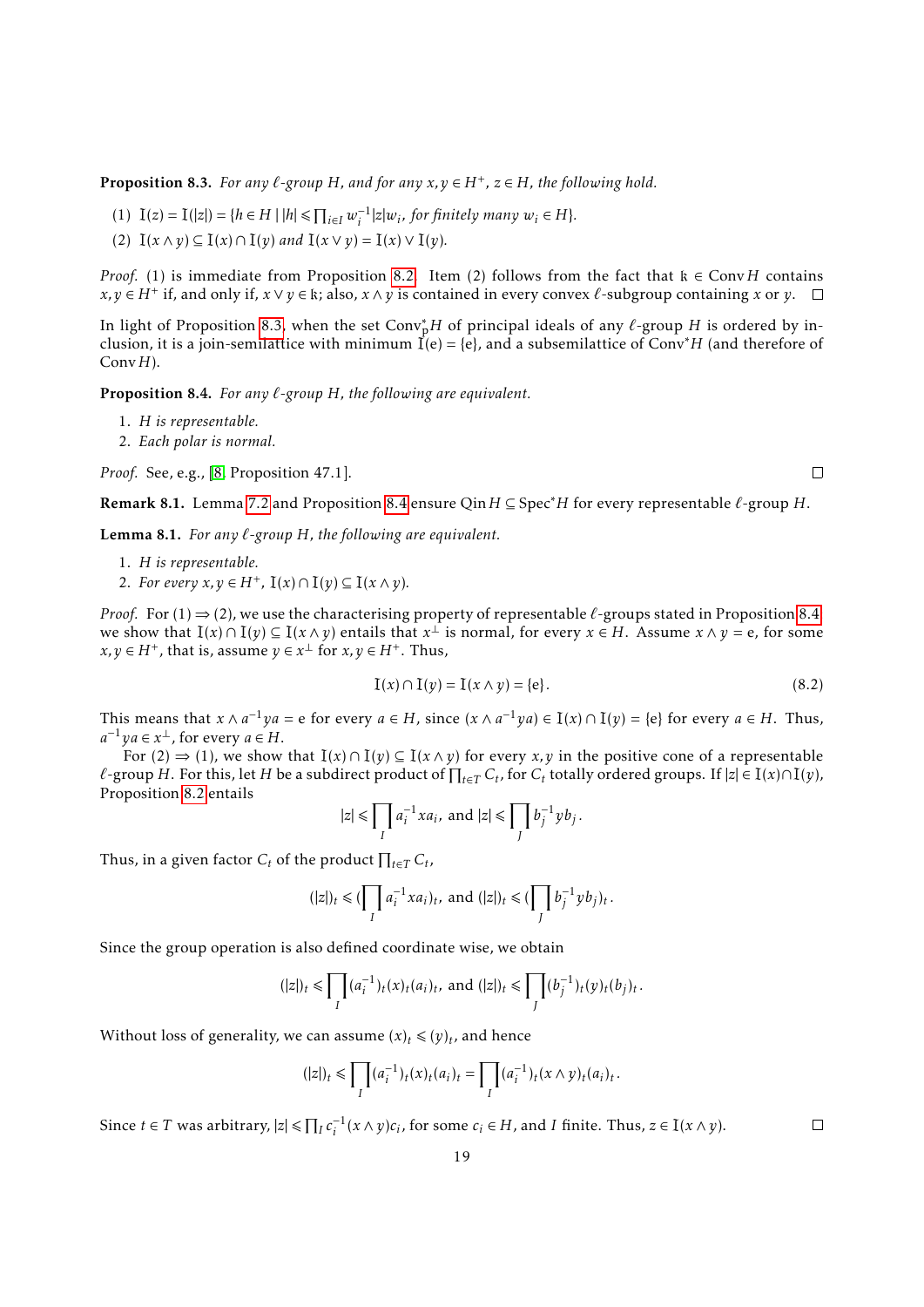<span id="page-18-0"></span>**Proposition 8.3.** For any  $\ell$ -group H, and for any  $x, y \in H^+$ ,  $z \in H$ , the following hold.

- $(1)$   $I(z) = I(|z|) = {h \in H | |h| \leq \prod_{i \in I} w_i^{-1} |z| w_i, \text{ for finitely many } w_i \in H}.$
- (2)  $I(x \wedge y) \subseteq I(x) \cap I(y)$  *and*  $I(x \vee y) = I(x) \vee I(y)$ *.*

*Proof.* (1) is immediate from Proposition [8.2.](#page-17-5) Item (2) follows from the fact that  $k \in Conv H$  contains *x*, *y* ∈ *H*<sup>+</sup> if, and only if, *x* ∨ *y* ∈ k; also, *x* ∧ *y* is contained in every convex  $\ell$ -subgroup containing *x* or *y*.

In light of Proposition [8.3,](#page-18-0) when the set Conv<sub>p</sub><sup>†</sup> of principal ideals of any *ℓ*-group *H* is ordered by inclusion, it is a join-semilattice with minimum  $\vec{I}(e) = \{e\}$ , and a subsemilattice of Conv<sup>\*</sup>H (and therefore of Conv*H*).

<span id="page-18-1"></span>Proposition 8.4. *For any `-group H, the following are equivalent.*

- 1. *H is representable.*
- 2. *Each polar is normal.*

*Proof.* See, e.g., [\[8,](#page-21-4) Proposition 47.1].

**Remark 8.1.** Lemma [7.2](#page-14-5) and Proposition [8.4](#page-18-1) ensure Qin  $H$  ⊆ Spec\* $H$  for every representable  $\ell$ -group  $H$ .

<span id="page-18-2"></span>Lemma 8.1. *For any `-group H, the following are equivalent.*

- 1. *H is representable.*
- 2. *For every*  $x, y \in H^+$ ,  $I(x) \cap I(y) \subseteq I(x \wedge y)$ .

*Proof.* For  $(1) \Rightarrow (2)$ , we use the characterising property of representable  $\ell$ -groups stated in Proposition [8.4:](#page-18-1) we show that  $I(x) \cap I(y) \subseteq I(x \wedge y)$  entails that  $x^{\perp}$  is normal, for every  $x \in H$ . Assume  $x \wedge y = e$ , for some *x*, *y* ∈ *H*<sup>+</sup>, that is, assume  $y \in x^{\perp}$  for  $x, y \in H^+$ . Thus,

$$
I(x) \cap I(y) = I(x \land y) = \{e\}.
$$
 (8.2)

This means that  $x \wedge a^{-1}ya = e$  for every  $a \in H$ , since  $(x \wedge a^{-1}ya) \in I(x) \cap I(y) = \{e\}$  for every  $a \in H$ . Thus,  $a^{-1}ya \in x^{\perp}$ , for every  $a \in H$ .

For  $(2) \Rightarrow (1)$ , we show that  $I(x) \cap I(y) \subseteq I(x \wedge y)$  for every *x*, *y* in the positive cone of a representable *l*−group *H*. For this, let *H* be a subdirect product of  $\prod_{t\in T} C_t$ , for  $C_t$  totally ordered groups. If  $|z| \in I(x) \cap I(y)$ , Proposition [8.2](#page-17-5) entails

$$
|z| \le \prod_I a_i^{-1} x a_i, \text{ and } |z| \le \prod_J b_j^{-1} y b_j.
$$

Thus, in a given factor  $C_t$  of the product  $\prod_{t \in T} C_t$ ,

$$
(|z|)_t \leq (\prod_l a_i^{-1} x a_i)_t, \text{ and } (|z|)_t \leq (\prod_l b_j^{-1} y b_j)_t.
$$

Since the group operation is also defined coordinate wise, we obtain

$$
(|z|)_t \leq \prod_I (a_i^{-1})_t(x)_t(a_i)_t, \text{ and } (|z|)_t \leq \prod_J (b_j^{-1})_t(y)_t(b_j)_t.
$$

Without loss of generality, we can assume  $(x)_t \leq (y)_t$ , and hence

$$
(|z|)_t \leq \prod_I (a_i^{-1})_t(x)_t (a_i)_t = \prod_I (a_i^{-1})_t(x \wedge y)_t (a_i)_t.
$$

Since  $t \in T$  was arbitrary,  $|z| \leq \prod_l c_i^{-1}(x \wedge y)c_i$ , for some  $c_i \in H$ , and *I* finite. Thus,  $z \in I(x \wedge y)$ .

 $\Box$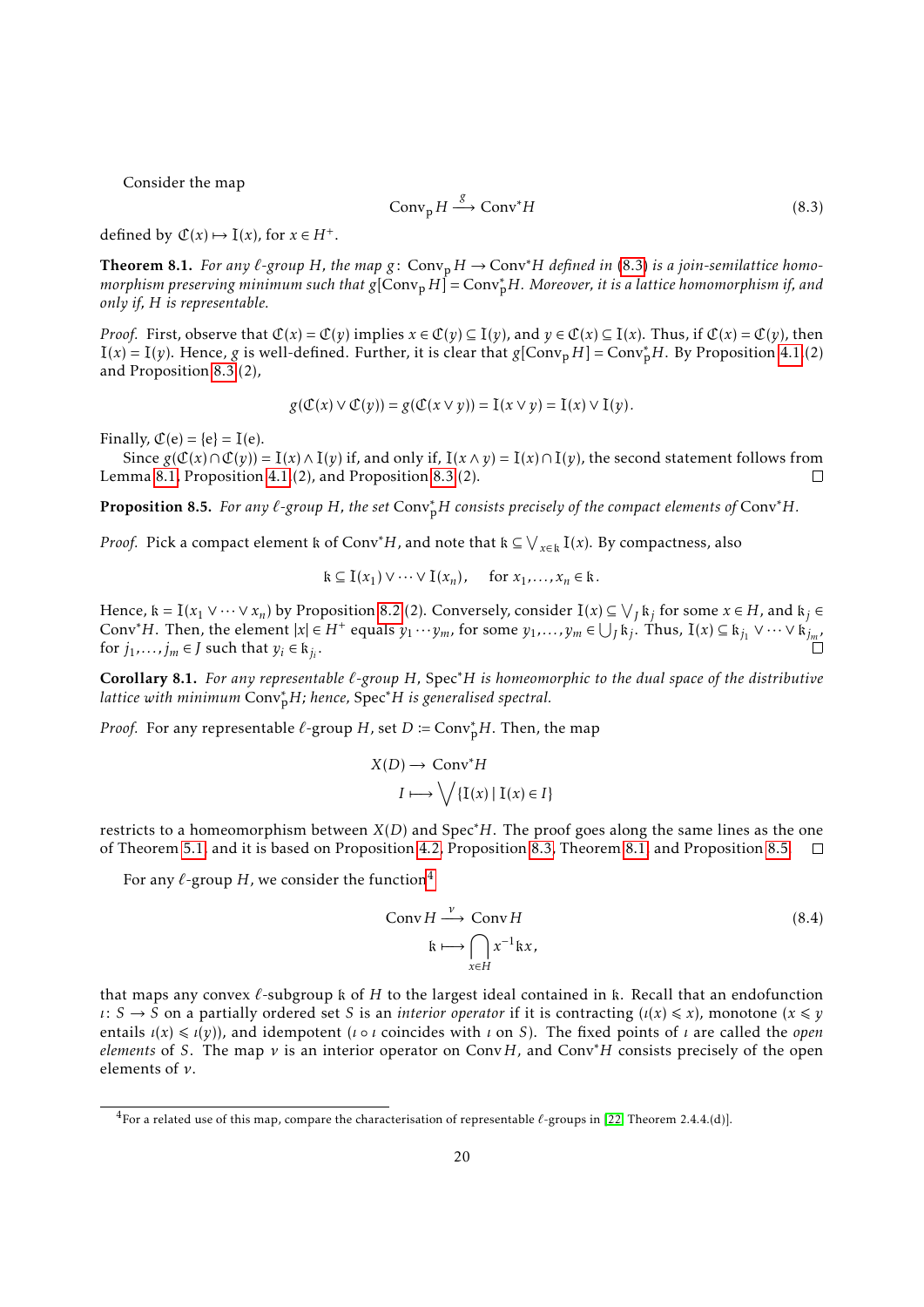Consider the map

<span id="page-19-0"></span>
$$
Conv_{\mathbf{p}} H \xrightarrow{\mathcal{S}} Conv^* H \tag{8.3}
$$

defined by  $\mathcal{C}(x) \mapsto I(x)$ , for  $x \in H^+$ .

<span id="page-19-1"></span>**Theorem 8.1.** *For any*  $\ell$ -group *H*, the map  $g$ : Conv<sub>p</sub> *H* → Conv<sup>\*</sup>*H defined in* [\(8.3\)](#page-19-0) *is a join-semilattice homomorphism preserving minimum such that <sup>g</sup>*[Conv<sup>p</sup> *<sup>H</sup>*] = Conv<sup>∗</sup> <sup>p</sup>*H. Moreover, it is a lattice homomorphism if, and only if, H is representable.*

*Proof.* First, observe that  $\mathcal{C}(x) = \mathcal{C}(v)$  implies  $x \in \mathcal{C}(v) \subseteq I(v)$ , and  $v \in \mathcal{C}(x) \subseteq I(x)$ . Thus, if  $\mathcal{C}(x) = \mathcal{C}(v)$ , then  $I(x) = I(y)$ . Hence, *g* is well-defined. Further, it is clear that  $g[Conv_p H] = Conv_p^*H$ . By Proposition [4.1.](#page-7-2)(2) and Proposition [8.3.](#page-18-0)(2),

$$
g(\mathcal{C}(x) \vee \mathcal{C}(y)) = g(\mathcal{C}(x \vee y)) = I(x \vee y) = I(x) \vee I(y).
$$

Finally,  $\mathcal{C}(e) = \{e\} = I(e)$ .

Since  $g(\mathcal{C}(x) \cap \mathcal{C}(y)) = I(x) \wedge I(y)$  if, and only if,  $I(x \wedge y) = I(x) \cap I(y)$ , the second statement follows from Lemma [8.1,](#page-18-2) Proposition [4.1.](#page-7-2)(2), and Proposition [8.3.](#page-18-0)(2). П

<span id="page-19-2"></span>Proposition 8.5. *For any `-group H, the set* Conv<sup>∗</sup> <sup>p</sup>*<sup>H</sup> consists precisely of the compact elements of* Conv∗*H.*

*Proof.* Pick a compact element  $k$  of Conv<sup>∗</sup>H, and note that  $k \subseteq \bigvee_{x \in k} I(x)$ . By compactness, also

$$
\mathbf{k} \subseteq \mathbf{I}(x_1) \vee \cdots \vee \mathbf{I}(x_n), \quad \text{for } x_1, \ldots, x_n \in \mathbf{k}.
$$

Hence,  $k = I(x_1 \vee \cdots \vee x_n)$  by Proposition [8.2.](#page-17-5)(2). Conversely, consider  $I(x) \subseteq \bigvee_j k_j$  for some  $x \in H$ , and  $k_j \in$ Conv<sup>\*</sup>*H*. Then, the element  $|x| \in H^+$  equals  $y_1 \cdots y_m$ , for some  $y_1, \ldots, y_m \in \bigcup_j k_j$ . Thus,  $I(x) \subseteq k_{j_1} \vee \cdots \vee k_{j_m}$ for  $j_1, \ldots, j_m \in J$  such that  $y_i \in k_{j_i}$ .

<span id="page-19-4"></span>Corollary 8.1. *For any representable `-group H,* Spec∗*H is homeomorphic to the dual space of the distributive lattice with minimum* Conv<sup>∗</sup> <sup>p</sup>*H; hence,* Spec∗*<sup>H</sup> is generalised spectral.*

*Proof.* For any representable  $\ell$ -group *H*, set *D* := Conv<sub>p</sub><sup>+</sup>*H*. Then, the map

$$
X(D) \to \text{Conv}^*H
$$

$$
I \longmapsto \bigvee \{ \text{I}(x) \mid \text{I}(x) \in I \}
$$

restricts to a homeomorphism between *X*(*D*) and Spec∗*H*. The proof goes along the same lines as the one of Theorem [5.1,](#page-9-3) and it is based on Proposition [4.2,](#page-7-3) Proposition [8.3,](#page-18-0) Theorem [8.1,](#page-19-1) and Proposition [8.5.](#page-19-2)  $\Box$ 

For any  $\ell$ -group *H*, we consider the function<sup>[4](#page-19-3)</sup>

$$
\text{Conv } H \xrightarrow{\nu} \text{Conv } H
$$
\n
$$
\text{R} \longmapsto \bigcap_{x \in H} x^{-1} \text{R} x,\tag{8.4}
$$

that maps any convex  $\ell$ -subgroup k of *H* to the largest ideal contained in k. Recall that an endofunction  $\iota: S \to S$  on a partially ordered set *S* is an *interior operator* if it is contracting  $(\iota(x) \leq x)$ , monotone  $(x \leq y)$ entails  $\iota(x) \leq \iota(y)$ , and idempotent (*ι* ο *ι* coincides with *ι* on *S*). The fixed points of *ι* are called the *open elements* of *S*. The map *ν* is an interior operator on Conv*H*, and Conv∗*H* consists precisely of the open elements of *ν*.

<span id="page-19-3"></span><sup>4</sup>For a related use of this map, compare the characterisation of representable *`*-groups in [\[22,](#page-21-18) Theorem 2.4.4.(d)].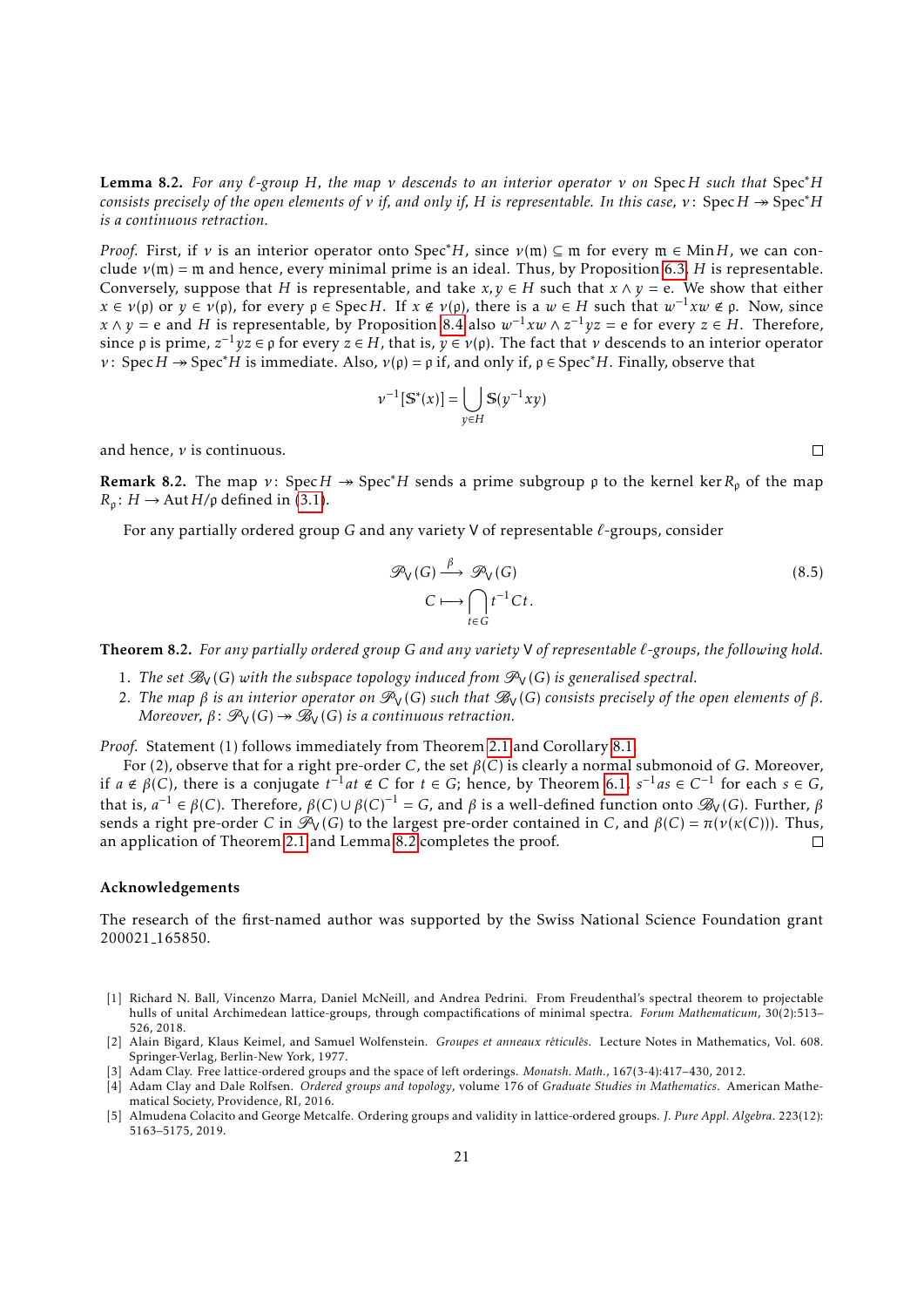<span id="page-20-6"></span>Lemma 8.2. *For any `-group H, the map ν descends to an interior operator ν on* Spec*H such that* Spec∗*H consists precisely of the open elements of <i>v if, and only if, H is representable. In this case, v*: Spec  $H \rightarrow \text{Spec}^*H$ *is a continuous retraction.*

*Proof.* First, if *ν* is an interior operator onto Spec<sup>\*</sup>*H*, since  $\nu$ (m)  $\subseteq$  m for every m  $\in$  Min*H*, we can conclude  $v(m)$  = m and hence, every minimal prime is an ideal. Thus, by Proposition [6.3,](#page-12-3) *H* is representable. Conversely, suppose that *H* is representable, and take  $x, y \in H$  such that  $x \wedge y = e$ . We show that either *x* ∈ *v*( $\uprho$ ) or *y* ∈ *v*( $\uprho$ ), for every  $\rho$  ∈ Spec*H*. If *x* ∉ *v*( $\uprho$ ), there is a *w* ∈ *H* such that *w*<sup>-1</sup>*xw* ∉  $\rho$ . Now, since *x*  $\wedge$  *y* = e and *H* is representable, by Proposition [8.4](#page-18-1) also  $w^{-1}xw \wedge z^{-1}yz = e$  for every *z* ∈ *H*. Therefore, since  $\rho$  is prime,  $z^{-1}yz \in \rho$  for every  $z \in H$ , that is,  $y \in \nu(\rho)$ . The fact that  $\nu$  descends to an interior operator *ν*: Spec *H*  $\rightarrow$  Spec<sup>\*</sup>*H* is immediate. Also, *ν*( $\rho$ ) =  $\rho$  if, and only if,  $\rho \in$  Spec<sup>\*</sup>*H*. Finally, observe that

$$
\nu^{-1}[\mathbb{S}^*(x)] = \bigcup_{y \in H} \mathbb{S}(y^{-1}xy)
$$

and hence, *ν* is continuous.

**Remark 8.2.** The map *ν*: Spec *H*  $\rightarrow$  Spec<sup>\*</sup>*H* sends a prime subgroup *p* to the kernel ker  $R_p$  of the map  $R_{\rho}$ : *H*  $\rightarrow$  Aut *H*/ $\rho$  defined in [\(3.1\)](#page-5-4).

For any partially ordered group *G* and any variety V of representable *`*-groups, consider

$$
\mathcal{P}_V(G) \xrightarrow{\beta} \mathcal{P}_V(G) \qquad (8.5)
$$
  

$$
C \longmapsto \bigcap_{t \in G} t^{-1}Ct.
$$

<span id="page-20-3"></span>Theorem 8.2. *For any partially ordered group G and any variety* V *of representable `-groups, the following hold.*

- 1. The set  $\mathcal{B}_{V}(G)$  with the subspace topology induced from  $\mathcal{P}_{V}(G)$  is generalised spectral.
- 2. The map  $β$  is an interior operator on  $\mathcal{P}_V(G)$  such that  $\mathcal{B}_V(G)$  consists precisely of the open elements of  $β$ . *Moreover,*  $\beta$ :  $\mathcal{P}_V(G) \rightarrow \mathcal{B}_V(G)$  *is a continuous retraction.*

*Proof.* Statement (1) follows immediately from Theorem [2.1](#page-4-0) and Corollary [8.1.](#page-19-4)

For (2), observe that for a right pre-order *C*, the set *β*(*C*) is clearly a normal submonoid of *G*. Moreover, if  $a \notin \beta(C)$ , there is a conjugate  $t^{-1}at \notin C$  for  $t \in G$ ; hence, by Theorem [6.1,](#page-10-1)  $s^{-1}as \in C^{-1}$  for each  $s \in G$ , that is,  $a^{-1} \in \beta(C)$ . Therefore,  $\beta(C) \cup \beta(C)^{-1} = G$ , and  $\beta$  is a well-defined function onto  $\mathscr{B}_V(G)$ . Further,  $\beta$ sends a right pre-order *C* in  $\mathcal{P}_V(G)$  to the largest pre-order contained in *C*, and  $β(C) = π(ν(κ(C)))$ . Thus, an application of Theorem 2.1 and Lemma 8.2 completes the proof. an application of Theorem [2.1](#page-4-0) and Lemma [8.2](#page-20-6) completes the proof.

#### Acknowledgements

The research of the first-named author was supported by the Swiss National Science Foundation grant 200021 165850.

- <span id="page-20-5"></span>[1] Richard N. Ball, Vincenzo Marra, Daniel McNeill, and Andrea Pedrini. From Freudenthal's spectral theorem to projectable hulls of unital Archimedean lattice-groups, through compactifications of minimal spectra. *Forum Mathematicum*, 30(2):513– 526, 2018.
- <span id="page-20-1"></span>[2] Alain Bigard, Klaus Keimel, and Samuel Wolfenstein. *Groupes et anneaux réticulés*. Lecture Notes in Mathematics, Vol. 608. Springer-Verlag, Berlin-New York, 1977.
- <span id="page-20-2"></span>[3] Adam Clay. Free lattice-ordered groups and the space of left orderings. *Monatsh. Math.*, 167(3-4):417–430, 2012.
- <span id="page-20-0"></span>[4] Adam Clay and Dale Rolfsen. *Ordered groups and topology*, volume 176 of *Graduate Studies in Mathematics*. American Mathematical Society, Providence, RI, 2016.
- <span id="page-20-4"></span>[5] Almudena Colacito and George Metcalfe. Ordering groups and validity in lattice-ordered groups. *J. Pure Appl. Algebra*. 223(12): 5163–5175, 2019.